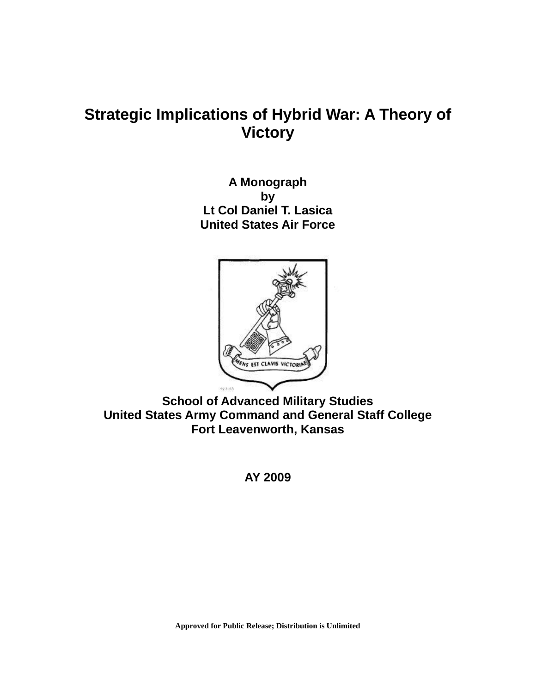## **Strategic Implications of Hybrid War: A Theory of Victory**

**A Monograph by Lt Col Daniel T. Lasica United States Air Force** 



**School of Advanced Military Studies United States Army Command and General Staff College Fort Leavenworth, Kansas** 

**AY 2009**

**Approved for Public Release; Distribution is Unlimited**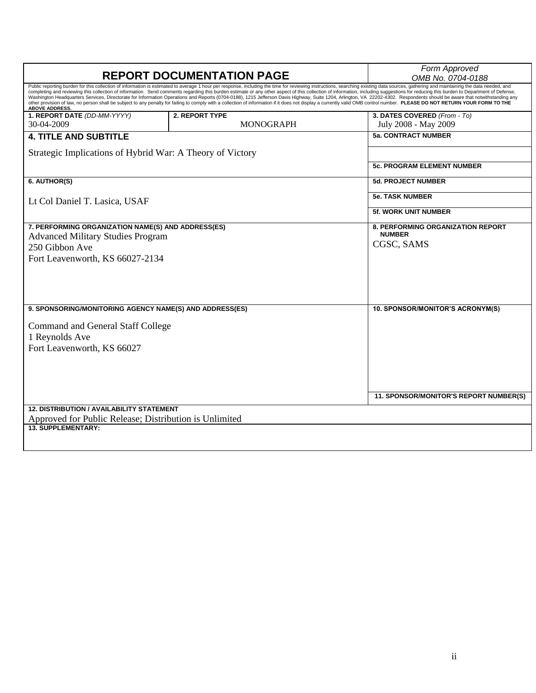| <b>REPORT DOCUMENTATION PAGE</b>                          | Form Approved<br>OMB No. 0704-0188                                                                                                                                                                                                                                                                                                                                                                                                                                                                                                                                                                                                                                                                                                                                                                                                                                                                                            |                                          |  |  |
|-----------------------------------------------------------|-------------------------------------------------------------------------------------------------------------------------------------------------------------------------------------------------------------------------------------------------------------------------------------------------------------------------------------------------------------------------------------------------------------------------------------------------------------------------------------------------------------------------------------------------------------------------------------------------------------------------------------------------------------------------------------------------------------------------------------------------------------------------------------------------------------------------------------------------------------------------------------------------------------------------------|------------------------------------------|--|--|
| <b>ABOVE ADDRESS.</b>                                     | Public reporting burden for this collection of information is estimated to average 1 hour per response, including the time for reviewing instructions, searching existing data sources, gathering and maintaining the data nee<br>completing and reviewing this collection of information. Send comments regarding this burden estimate or any other aspect of this collection of information, including suggestions for reducing this burden to Department of D<br>Washington Headquarters Services, Directorate for Information Operations and Reports (0704-0188), 1215 Jefferson Davis Highway, Suite 1204, Arlington, VA 22202-4302. Respondents should be aware that notwithstanding any<br>other provision of law, no person shall be subject to any penalty for failing to comply with a collection of information if it does not display a currently valid OMB control number. PLEASE DO NOT RETURN YOUR FORM TO THE |                                          |  |  |
| 1. REPORT DATE (DD-MM-YYYY)                               | 2. REPORT TYPE                                                                                                                                                                                                                                                                                                                                                                                                                                                                                                                                                                                                                                                                                                                                                                                                                                                                                                                | 3. DATES COVERED (From - To)             |  |  |
| 30-04-2009                                                | <b>MONOGRAPH</b>                                                                                                                                                                                                                                                                                                                                                                                                                                                                                                                                                                                                                                                                                                                                                                                                                                                                                                              | July 2008 - May 2009                     |  |  |
| <b>4. TITLE AND SUBTITLE</b>                              | <b>5a. CONTRACT NUMBER</b>                                                                                                                                                                                                                                                                                                                                                                                                                                                                                                                                                                                                                                                                                                                                                                                                                                                                                                    |                                          |  |  |
| Strategic Implications of Hybrid War: A Theory of Victory |                                                                                                                                                                                                                                                                                                                                                                                                                                                                                                                                                                                                                                                                                                                                                                                                                                                                                                                               |                                          |  |  |
|                                                           | <b>5c. PROGRAM ELEMENT NUMBER</b>                                                                                                                                                                                                                                                                                                                                                                                                                                                                                                                                                                                                                                                                                                                                                                                                                                                                                             |                                          |  |  |
| 6. AUTHOR(S)                                              |                                                                                                                                                                                                                                                                                                                                                                                                                                                                                                                                                                                                                                                                                                                                                                                                                                                                                                                               | <b>5d. PROJECT NUMBER</b>                |  |  |
| Lt Col Daniel T. Lasica, USAF                             |                                                                                                                                                                                                                                                                                                                                                                                                                                                                                                                                                                                                                                                                                                                                                                                                                                                                                                                               | <b>5e. TASK NUMBER</b>                   |  |  |
|                                                           |                                                                                                                                                                                                                                                                                                                                                                                                                                                                                                                                                                                                                                                                                                                                                                                                                                                                                                                               | <b>5f. WORK UNIT NUMBER</b>              |  |  |
| 7. PERFORMING ORGANIZATION NAME(S) AND ADDRESS(ES)        |                                                                                                                                                                                                                                                                                                                                                                                                                                                                                                                                                                                                                                                                                                                                                                                                                                                                                                                               | <b>8. PERFORMING ORGANIZATION REPORT</b> |  |  |
| <b>Advanced Military Studies Program</b>                  |                                                                                                                                                                                                                                                                                                                                                                                                                                                                                                                                                                                                                                                                                                                                                                                                                                                                                                                               | <b>NUMBER</b>                            |  |  |
| 250 Gibbon Ave                                            |                                                                                                                                                                                                                                                                                                                                                                                                                                                                                                                                                                                                                                                                                                                                                                                                                                                                                                                               | CGSC, SAMS                               |  |  |
| Fort Leavenworth, KS 66027-2134                           |                                                                                                                                                                                                                                                                                                                                                                                                                                                                                                                                                                                                                                                                                                                                                                                                                                                                                                                               |                                          |  |  |
|                                                           |                                                                                                                                                                                                                                                                                                                                                                                                                                                                                                                                                                                                                                                                                                                                                                                                                                                                                                                               |                                          |  |  |
|                                                           |                                                                                                                                                                                                                                                                                                                                                                                                                                                                                                                                                                                                                                                                                                                                                                                                                                                                                                                               |                                          |  |  |
|                                                           |                                                                                                                                                                                                                                                                                                                                                                                                                                                                                                                                                                                                                                                                                                                                                                                                                                                                                                                               |                                          |  |  |
|                                                           |                                                                                                                                                                                                                                                                                                                                                                                                                                                                                                                                                                                                                                                                                                                                                                                                                                                                                                                               |                                          |  |  |
|                                                           |                                                                                                                                                                                                                                                                                                                                                                                                                                                                                                                                                                                                                                                                                                                                                                                                                                                                                                                               |                                          |  |  |
| 9. SPONSORING/MONITORING AGENCY NAME(S) AND ADDRESS(ES)   |                                                                                                                                                                                                                                                                                                                                                                                                                                                                                                                                                                                                                                                                                                                                                                                                                                                                                                                               | 10. SPONSOR/MONITOR'S ACRONYM(S)         |  |  |
| Command and General Staff College                         |                                                                                                                                                                                                                                                                                                                                                                                                                                                                                                                                                                                                                                                                                                                                                                                                                                                                                                                               |                                          |  |  |
|                                                           |                                                                                                                                                                                                                                                                                                                                                                                                                                                                                                                                                                                                                                                                                                                                                                                                                                                                                                                               |                                          |  |  |
| 1 Reynolds Ave                                            |                                                                                                                                                                                                                                                                                                                                                                                                                                                                                                                                                                                                                                                                                                                                                                                                                                                                                                                               |                                          |  |  |
| Fort Leavenworth, KS 66027                                |                                                                                                                                                                                                                                                                                                                                                                                                                                                                                                                                                                                                                                                                                                                                                                                                                                                                                                                               |                                          |  |  |
|                                                           |                                                                                                                                                                                                                                                                                                                                                                                                                                                                                                                                                                                                                                                                                                                                                                                                                                                                                                                               |                                          |  |  |
|                                                           |                                                                                                                                                                                                                                                                                                                                                                                                                                                                                                                                                                                                                                                                                                                                                                                                                                                                                                                               |                                          |  |  |
|                                                           |                                                                                                                                                                                                                                                                                                                                                                                                                                                                                                                                                                                                                                                                                                                                                                                                                                                                                                                               |                                          |  |  |
|                                                           |                                                                                                                                                                                                                                                                                                                                                                                                                                                                                                                                                                                                                                                                                                                                                                                                                                                                                                                               |                                          |  |  |
|                                                           |                                                                                                                                                                                                                                                                                                                                                                                                                                                                                                                                                                                                                                                                                                                                                                                                                                                                                                                               | 11. SPONSOR/MONITOR'S REPORT NUMBER(S)   |  |  |
| <b>12. DISTRIBUTION / AVAILABILITY STATEMENT</b>          |                                                                                                                                                                                                                                                                                                                                                                                                                                                                                                                                                                                                                                                                                                                                                                                                                                                                                                                               |                                          |  |  |
| Approved for Public Release; Distribution is Unlimited    |                                                                                                                                                                                                                                                                                                                                                                                                                                                                                                                                                                                                                                                                                                                                                                                                                                                                                                                               |                                          |  |  |
| 13. SUPPLEMENTARY:                                        |                                                                                                                                                                                                                                                                                                                                                                                                                                                                                                                                                                                                                                                                                                                                                                                                                                                                                                                               |                                          |  |  |
|                                                           |                                                                                                                                                                                                                                                                                                                                                                                                                                                                                                                                                                                                                                                                                                                                                                                                                                                                                                                               |                                          |  |  |
|                                                           |                                                                                                                                                                                                                                                                                                                                                                                                                                                                                                                                                                                                                                                                                                                                                                                                                                                                                                                               |                                          |  |  |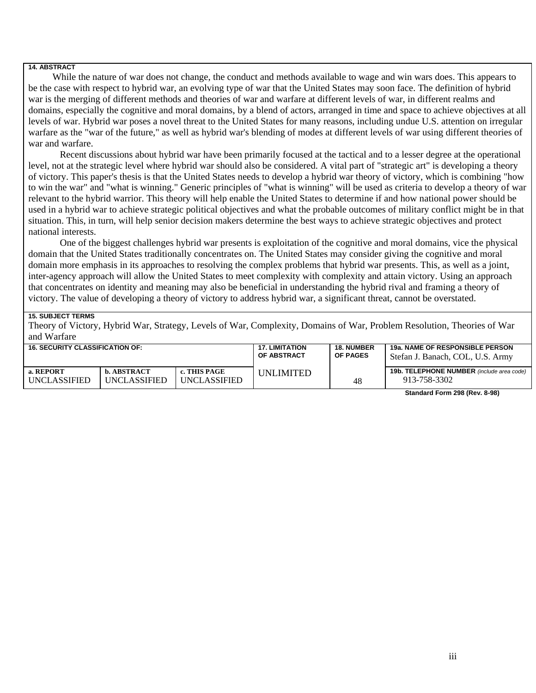#### **14. ABSTRACT**

 While the nature of war does not change, the conduct and methods available to wage and win wars does. This appears to be the case with respect to hybrid war, an evolving type of war that the United States may soon face. The definition of hybrid war is the merging of different methods and theories of war and warfare at different levels of war, in different realms and domains, especially the cognitive and moral domains, by a blend of actors, arranged in time and space to achieve objectives at all levels of war. Hybrid war poses a novel threat to the United States for many reasons, including undue U.S. attention on irregular warfare as the "war of the future," as well as hybrid war's blending of modes at different levels of war using different theories of war and warfare.

Recent discussions about hybrid war have been primarily focused at the tactical and to a lesser degree at the operational level, not at the strategic level where hybrid war should also be considered. A vital part of "strategic art" is developing a theory of victory. This paper's thesis is that the United States needs to develop a hybrid war theory of victory, which is combining "how to win the war" and "what is winning." Generic principles of "what is winning" will be used as criteria to develop a theory of war relevant to the hybrid warrior. This theory will help enable the United States to determine if and how national power should be used in a hybrid war to achieve strategic political objectives and what the probable outcomes of military conflict might be in that situation. This, in turn, will help senior decision makers determine the best ways to achieve strategic objectives and protect national interests.

One of the biggest challenges hybrid war presents is exploitation of the cognitive and moral domains, vice the physical domain that the United States traditionally concentrates on. The United States may consider giving the cognitive and moral domain more emphasis in its approaches to resolving the complex problems that hybrid war presents. This, as well as a joint, inter-agency approach will allow the United States to meet complexity with complexity and attain victory. Using an approach that concentrates on identity and meaning may also be beneficial in understanding the hybrid rival and framing a theory of victory. The value of developing a theory of victory to address hybrid war, a significant threat, cannot be overstated.

#### **15. SUBJECT TERMS**

Theory of Victory, Hybrid War, Strategy, Levels of War, Complexity, Domains of War, Problem Resolution, Theories of War and Warfare

| <b>16. SECURITY CLASSIFICATION OF:</b> |                                    |                              | <b>17. LIMITATION</b> | <b>18. NUMBER</b> | <b>19a. NAME OF RESPONSIBLE PERSON</b>                           |
|----------------------------------------|------------------------------------|------------------------------|-----------------------|-------------------|------------------------------------------------------------------|
|                                        |                                    |                              | OF ABSTRACT           | <b>OF PAGES</b>   | Stefan J. Banach, COL, U.S. Army                                 |
| a. REPORT<br>UNCLASSIFIED              | b. ABSTRACT<br><b>UNCLASSIFIED</b> | c. THIS PAGE<br>UNCLASSIFIED | UNLIMITED             | 48                | <b>19b. TELEPHONE NUMBER</b> (include area code)<br>913-758-3302 |

**Standard Form 298 (Rev. 8-98)**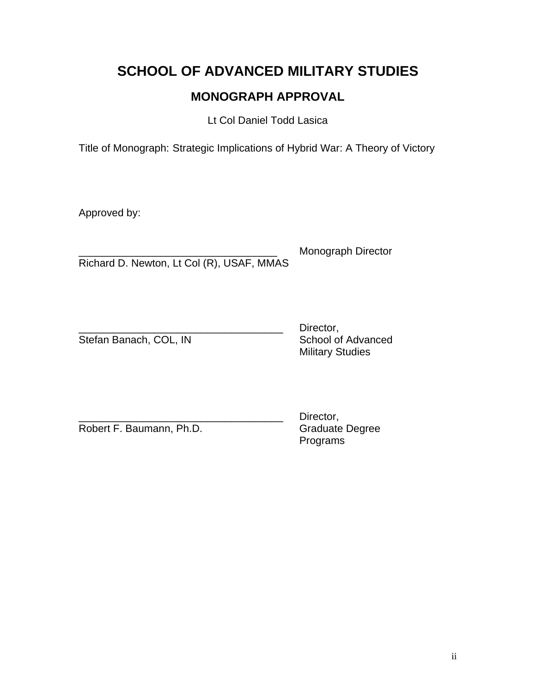# **SCHOOL OF ADVANCED MILITARY STUDIES MONOGRAPH APPROVAL**

Lt Col Daniel Todd Lasica

Title of Monograph: Strategic Implications of Hybrid War: A Theory of Victory

Approved by:

Richard D. Newton, Lt Col (R), USAF, MMAS

Stefan Banach, COL, IN School of Advanced

Director, Military Studies

Monograph Director

Robert F. Baumann, Ph.D.

Director,<br>Graduate Degree Programs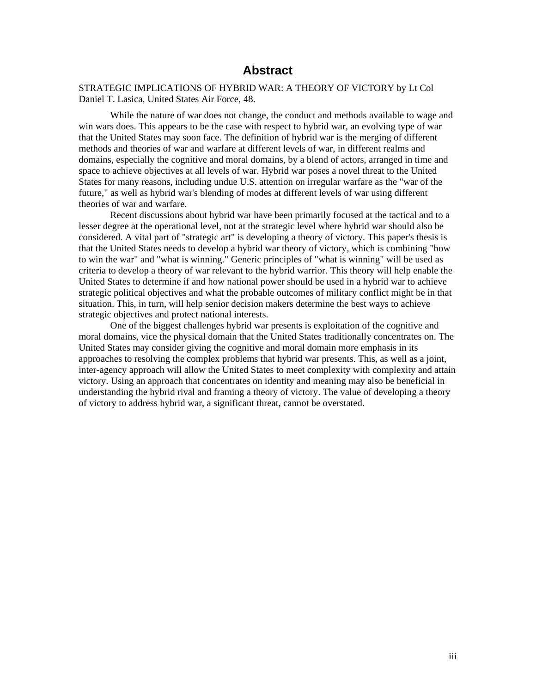## **Abstract**

#### STRATEGIC IMPLICATIONS OF HYBRID WAR: A THEORY OF VICTORY by Lt Col Daniel T. Lasica, United States Air Force, 48.

 While the nature of war does not change, the conduct and methods available to wage and win wars does. This appears to be the case with respect to hybrid war, an evolving type of war that the United States may soon face. The definition of hybrid war is the merging of different methods and theories of war and warfare at different levels of war, in different realms and domains, especially the cognitive and moral domains, by a blend of actors, arranged in time and space to achieve objectives at all levels of war. Hybrid war poses a novel threat to the United States for many reasons, including undue U.S. attention on irregular warfare as the "war of the future," as well as hybrid war's blending of modes at different levels of war using different theories of war and warfare.

 Recent discussions about hybrid war have been primarily focused at the tactical and to a lesser degree at the operational level, not at the strategic level where hybrid war should also be considered. A vital part of "strategic art" is developing a theory of victory. This paper's thesis is that the United States needs to develop a hybrid war theory of victory, which is combining "how to win the war" and "what is winning." Generic principles of "what is winning" will be used as criteria to develop a theory of war relevant to the hybrid warrior. This theory will help enable the United States to determine if and how national power should be used in a hybrid war to achieve strategic political objectives and what the probable outcomes of military conflict might be in that situation. This, in turn, will help senior decision makers determine the best ways to achieve strategic objectives and protect national interests.

 One of the biggest challenges hybrid war presents is exploitation of the cognitive and moral domains, vice the physical domain that the United States traditionally concentrates on. The United States may consider giving the cognitive and moral domain more emphasis in its approaches to resolving the complex problems that hybrid war presents. This, as well as a joint, inter-agency approach will allow the United States to meet complexity with complexity and attain victory. Using an approach that concentrates on identity and meaning may also be beneficial in understanding the hybrid rival and framing a theory of victory. The value of developing a theory of victory to address hybrid war, a significant threat, cannot be overstated.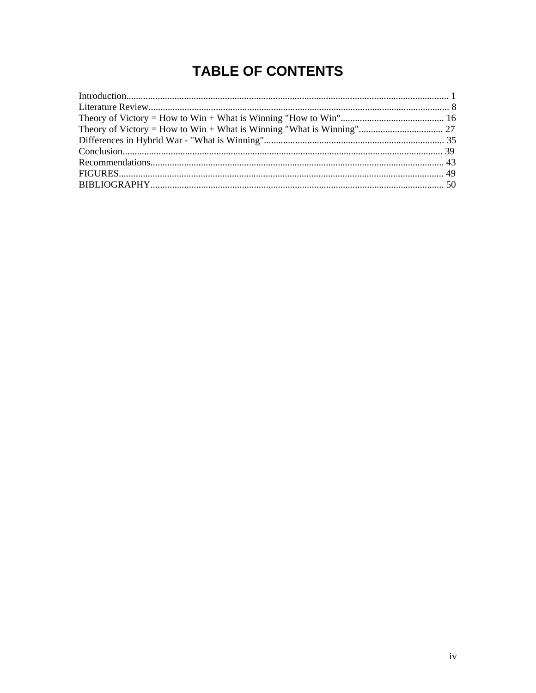# **TABLE OF CONTENTS**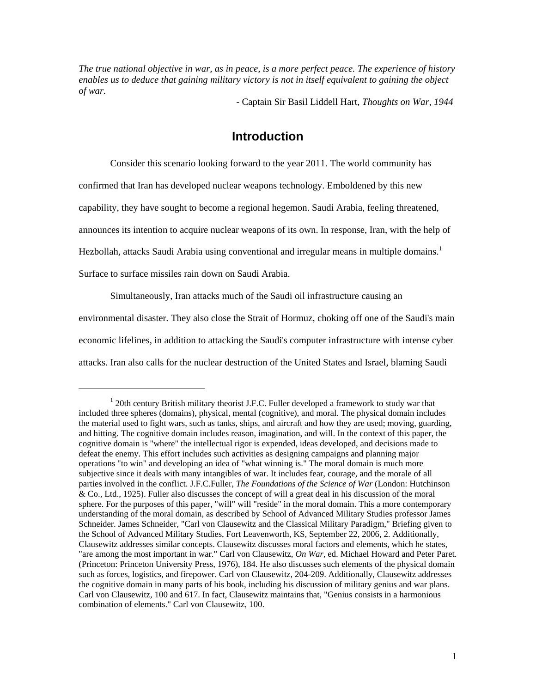*The true national objective in war, as in peace, is a more perfect peace. The experience of history enables us to deduce that gaining military victory is not in itself equivalent to gaining the object of war.*

- Captain Sir Basil Liddell Hart, *Thoughts on War, 1944* 

## **Introduction**

 Consider this scenario looking forward to the year 2011. The world community has confirmed that Iran has developed nuclear weapons technology. Emboldened by this new capability, they have sought to become a regional hegemon. Saudi Arabia, feeling threatened, announces its intention to acquire nuclear weapons of its own. In response, Iran, with the help of Hezbollah, attacks Saudi Arabia using conventional and irregular means in multiple domains.<sup>1</sup> Surface to surface missiles rain down on Saudi Arabia.

 Simultaneously, Iran attacks much of the Saudi oil infrastructure causing an environmental disaster. They also close the Strait of Hormuz, choking off one of the Saudi's main economic lifelines, in addition to attacking the Saudi's computer infrastructure with intense cyber attacks. Iran also calls for the nuclear destruction of the United States and Israel, blaming Saudi

 $1$  20th century British military theorist J.F.C. Fuller developed a framework to study war that included three spheres (domains), physical, mental (cognitive), and moral. The physical domain includes the material used to fight wars, such as tanks, ships, and aircraft and how they are used; moving, guarding, and hitting. The cognitive domain includes reason, imagination, and will. In the context of this paper, the cognitive domain is "where" the intellectual rigor is expended, ideas developed, and decisions made to defeat the enemy. This effort includes such activities as designing campaigns and planning major operations "to win" and developing an idea of "what winning is." The moral domain is much more subjective since it deals with many intangibles of war. It includes fear, courage, and the morale of all parties involved in the conflict. J.F.C.Fuller, *The Foundations of the Science of War* (London: Hutchinson & Co., Ltd., 1925). Fuller also discusses the concept of will a great deal in his discussion of the moral sphere. For the purposes of this paper, "will" will "reside" in the moral domain. This a more contemporary understanding of the moral domain, as described by School of Advanced Military Studies professor James Schneider. James Schneider, "Carl von Clausewitz and the Classical Military Paradigm," Briefing given to the School of Advanced Military Studies, Fort Leavenworth, KS, September 22, 2006, 2. Additionally, Clausewitz addresses similar concepts. Clausewitz discusses moral factors and elements, which he states, "are among the most important in war." Carl von Clausewitz, *On War,* ed. Michael Howard and Peter Paret. (Princeton: Princeton University Press, 1976), 184. He also discusses such elements of the physical domain such as forces, logistics, and firepower. Carl von Clausewitz*,* 204-209. Additionally, Clausewitz addresses the cognitive domain in many parts of his book, including his discussion of military genius and war plans. Carl von Clausewitz*,* 100 and 617. In fact, Clausewitz maintains that, "Genius consists in a harmonious combination of elements." Carl von Clausewitz, 100.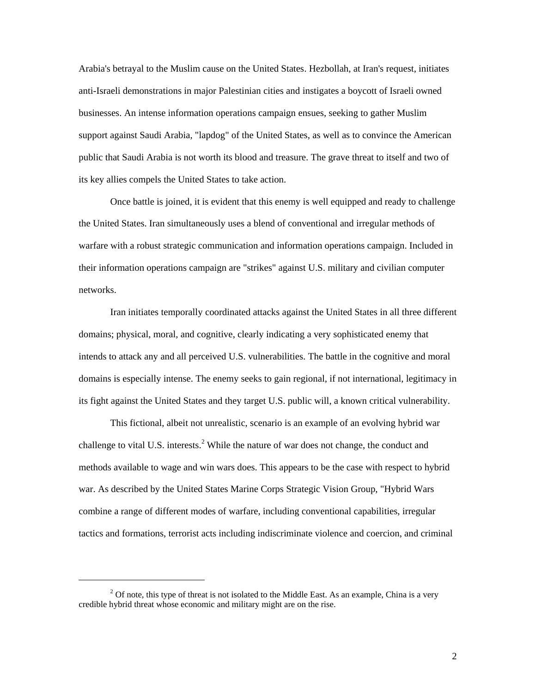Arabia's betrayal to the Muslim cause on the United States. Hezbollah, at Iran's request, initiates anti-Israeli demonstrations in major Palestinian cities and instigates a boycott of Israeli owned businesses. An intense information operations campaign ensues, seeking to gather Muslim support against Saudi Arabia, "lapdog" of the United States, as well as to convince the American public that Saudi Arabia is not worth its blood and treasure. The grave threat to itself and two of its key allies compels the United States to take action.

 Once battle is joined, it is evident that this enemy is well equipped and ready to challenge the United States. Iran simultaneously uses a blend of conventional and irregular methods of warfare with a robust strategic communication and information operations campaign. Included in their information operations campaign are "strikes" against U.S. military and civilian computer networks.

 Iran initiates temporally coordinated attacks against the United States in all three different domains; physical, moral, and cognitive, clearly indicating a very sophisticated enemy that intends to attack any and all perceived U.S. vulnerabilities. The battle in the cognitive and moral domains is especially intense. The enemy seeks to gain regional, if not international, legitimacy in its fight against the United States and they target U.S. public will, a known critical vulnerability.

 This fictional, albeit not unrealistic, scenario is an example of an evolving hybrid war challenge to vital U.S. interests.<sup>2</sup> While the nature of war does not change, the conduct and methods available to wage and win wars does. This appears to be the case with respect to hybrid war. As described by the United States Marine Corps Strategic Vision Group, "Hybrid Wars combine a range of different modes of warfare, including conventional capabilities, irregular tactics and formations, terrorist acts including indiscriminate violence and coercion, and criminal

 $2^{2}$  Of note, this type of threat is not isolated to the Middle East. As an example, China is a very credible hybrid threat whose economic and military might are on the rise.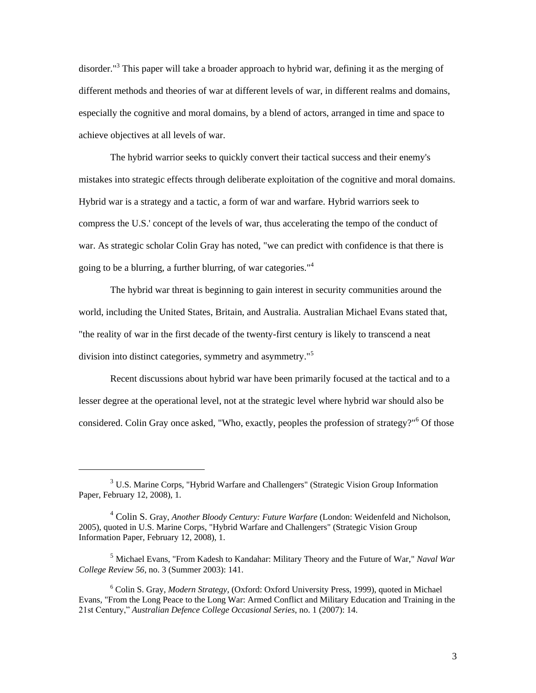disorder."<sup>3</sup> This paper will take a broader approach to hybrid war, defining it as the merging of different methods and theories of war at different levels of war, in different realms and domains, especially the cognitive and moral domains, by a blend of actors, arranged in time and space to achieve objectives at all levels of war.

 The hybrid warrior seeks to quickly convert their tactical success and their enemy's mistakes into strategic effects through deliberate exploitation of the cognitive and moral domains. Hybrid war is a strategy and a tactic, a form of war and warfare. Hybrid warriors seek to compress the U.S.' concept of the levels of war, thus accelerating the tempo of the conduct of war. As strategic scholar Colin Gray has noted, "we can predict with confidence is that there is going to be a blurring, a further blurring, of war categories."<sup>4</sup>

 The hybrid war threat is beginning to gain interest in security communities around the world, including the United States, Britain, and Australia. Australian Michael Evans stated that, "the reality of war in the first decade of the twenty-first century is likely to transcend a neat division into distinct categories, symmetry and asymmetry."<sup>5</sup>

 Recent discussions about hybrid war have been primarily focused at the tactical and to a lesser degree at the operational level, not at the strategic level where hybrid war should also be considered. Colin Gray once asked, "Who, exactly, peoples the profession of strategy?"<sup>6</sup> Of those

<sup>&</sup>lt;sup>3</sup> U.S. Marine Corps, "Hybrid Warfare and Challengers" (Strategic Vision Group Information Paper, February 12, 2008), 1.

<sup>4</sup> Colin S. Gray, *Another Bloody Century: Future Warfare* (London: Weidenfeld and Nicholson, 2005), quoted in U.S. Marine Corps, "Hybrid Warfare and Challengers" (Strategic Vision Group Information Paper, February 12, 2008), 1.

<sup>5</sup> Michael Evans, "From Kadesh to Kandahar: Military Theory and the Future of War," *Naval War College Review 56*, no. 3 (Summer 2003): 141.

<sup>6</sup> Colin S. Gray, *Modern Strategy,* (Oxford: Oxford University Press, 1999), quoted in Michael Evans, "From the Long Peace to the Long War: Armed Conflict and Military Education and Training in the 21st Century," *Australian Defence College Occasional Series*, no. 1 (2007): 14.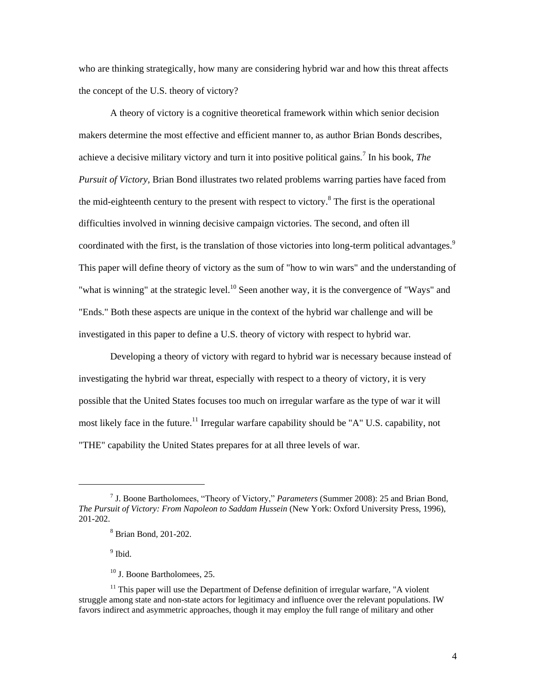who are thinking strategically, how many are considering hybrid war and how this threat affects the concept of the U.S. theory of victory?

A theory of victory is a cognitive theoretical framework within which senior decision makers determine the most effective and efficient manner to, as author Brian Bonds describes, achieve a decisive military victory and turn it into positive political gains.<sup>7</sup> In his book, *The Pursuit of Victory,* Brian Bond illustrates two related problems warring parties have faced from the mid-eighteenth century to the present with respect to victory.<sup>8</sup> The first is the operational difficulties involved in winning decisive campaign victories. The second, and often ill coordinated with the first, is the translation of those victories into long-term political advantages.<sup>9</sup> This paper will define theory of victory as the sum of "how to win wars" and the understanding of "what is winning" at the strategic level.<sup>10</sup> Seen another way, it is the convergence of "Ways" and "Ends." Both these aspects are unique in the context of the hybrid war challenge and will be investigated in this paper to define a U.S. theory of victory with respect to hybrid war.

 Developing a theory of victory with regard to hybrid war is necessary because instead of investigating the hybrid war threat, especially with respect to a theory of victory, it is very possible that the United States focuses too much on irregular warfare as the type of war it will most likely face in the future.<sup>11</sup> Irregular warfare capability should be "A" U.S. capability, not "THE" capability the United States prepares for at all three levels of war.

 $<sup>9</sup>$  Ibid.</sup>

<sup>7</sup> J. Boone Bartholomees, "Theory of Victory," *Parameters* (Summer 2008): 25 and Brian Bond, The Pursuit of Victory: From Napoleon to Saddam Hussein (New York: Oxford University Press, 1996), 201-202.

<sup>8</sup> Brian Bond*,* 201-202.

<sup>&</sup>lt;sup>10</sup> J. Boone Bartholomees, 25.

 $11$  This paper will use the Department of Defense definition of irregular warfare. "A violent struggle among state and non-state actors for legitimacy and influence over the relevant populations. IW favors indirect and asymmetric approaches, though it may employ the full range of military and other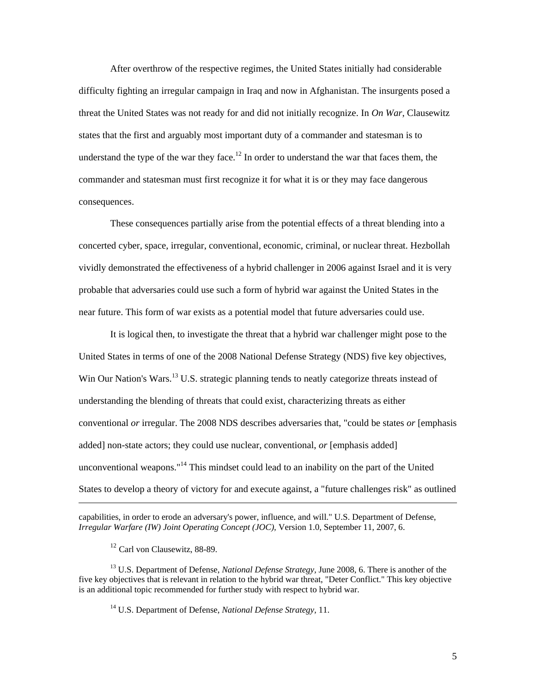After overthrow of the respective regimes, the United States initially had considerable difficulty fighting an irregular campaign in Iraq and now in Afghanistan. The insurgents posed a threat the United States was not ready for and did not initially recognize. In *On War*, Clausewitz states that the first and arguably most important duty of a commander and statesman is to understand the type of the war they face.<sup>12</sup> In order to understand the war that faces them, the commander and statesman must first recognize it for what it is or they may face dangerous consequences.

 These consequences partially arise from the potential effects of a threat blending into a concerted cyber, space, irregular, conventional, economic, criminal, or nuclear threat. Hezbollah vividly demonstrated the effectiveness of a hybrid challenger in 2006 against Israel and it is very probable that adversaries could use such a form of hybrid war against the United States in the near future. This form of war exists as a potential model that future adversaries could use.

 It is logical then, to investigate the threat that a hybrid war challenger might pose to the United States in terms of one of the 2008 National Defense Strategy (NDS) five key objectives, Win Our Nation's Wars.<sup>13</sup> U.S. strategic planning tends to neatly categorize threats instead of understanding the blending of threats that could exist, characterizing threats as either conventional *or* irregular. The 2008 NDS describes adversaries that, "could be states *or* [emphasis added] non-state actors; they could use nuclear, conventional, *or* [emphasis added] unconventional weapons."<sup>14</sup> This mindset could lead to an inability on the part of the United States to develop a theory of victory for and execute against, a "future challenges risk" as outlined

 $\overline{a}$ 

<sup>14</sup> U.S. Department of Defense, *National Defense Strategy,* 11.

capabilities, in order to erode an adversary's power, influence, and will." U.S. Department of Defense, *Irregular Warfare (IW) Joint Operating Concept (JOC),* Version 1.0, September 11, 2007, 6.

<sup>12</sup> Carl von Clausewitz, 88-89.

<sup>13</sup> U.S. Department of Defense, *National Defense Strategy,* June 2008, 6. There is another of the five key objectives that is relevant in relation to the hybrid war threat, "Deter Conflict." This key objective is an additional topic recommended for further study with respect to hybrid war.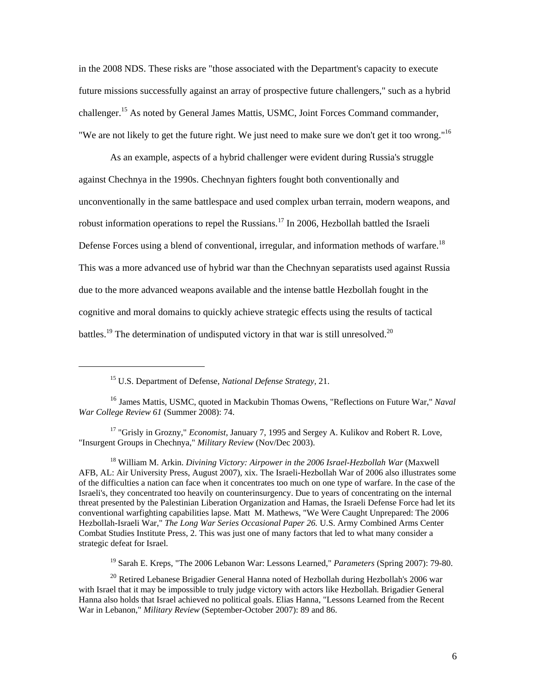in the 2008 NDS. These risks are "those associated with the Department's capacity to execute future missions successfully against an array of prospective future challengers," such as a hybrid challenger.<sup>15</sup> As noted by General James Mattis, USMC, Joint Forces Command commander, "We are not likely to get the future right. We just need to make sure we don't get it too wrong."<sup>16</sup>

 As an example, aspects of a hybrid challenger were evident during Russia's struggle against Chechnya in the 1990s. Chechnyan fighters fought both conventionally and unconventionally in the same battlespace and used complex urban terrain, modern weapons, and robust information operations to repel the Russians.<sup>17</sup> In 2006, Hezbollah battled the Israeli Defense Forces using a blend of conventional, irregular, and information methods of warfare.<sup>18</sup> This was a more advanced use of hybrid war than the Chechnyan separatists used against Russia due to the more advanced weapons available and the intense battle Hezbollah fought in the cognitive and moral domains to quickly achieve strategic effects using the results of tactical battles.<sup>19</sup> The determination of undisputed victory in that war is still unresolved.<sup>20</sup>

 $\overline{a}$ 

<sup>17</sup> "Grisly in Grozny," *Economist*, January 7, 1995 and Sergey A. Kulikov and Robert R. Love, "Insurgent Groups in Chechnya," *Military Review* (Nov/Dec 2003).

<sup>18</sup> William M. Arkin. *Divining Victory: Airpower in the 2006 Israel-Hezbollah War* (Maxwell AFB, AL: Air University Press, August 2007), xix. The Israeli-Hezbollah War of 2006 also illustrates some of the difficulties a nation can face when it concentrates too much on one type of warfare. In the case of the Israeli's, they concentrated too heavily on counterinsurgency. Due to years of concentrating on the internal threat presented by the Palestinian Liberation Organization and Hamas, the Israeli Defense Force had let its conventional warfighting capabilities lapse. Matt M. Mathews, "We Were Caught Unprepared: The 2006 Hezbollah-Israeli War," *The Long War Series Occasional Paper 26.* U.S. Army Combined Arms Center Combat Studies Institute Press, 2. This was just one of many factors that led to what many consider a strategic defeat for Israel.

<sup>19</sup> Sarah E. Kreps, "The 2006 Lebanon War: Lessons Learned," *Parameters* (Spring 2007): 79-80.

<sup>15</sup> U.S. Department of Defense, *National Defense Strategy,* 21.

<sup>16</sup> James Mattis, USMC, quoted in Mackubin Thomas Owens, "Reflections on Future War," *Naval War College Review 61* (Summer 2008): 74.

<sup>&</sup>lt;sup>20</sup> Retired Lebanese Brigadier General Hanna noted of Hezbollah during Hezbollah's 2006 war with Israel that it may be impossible to truly judge victory with actors like Hezbollah. Brigadier General Hanna also holds that Israel achieved no political goals. Elias Hanna, "Lessons Learned from the Recent War in Lebanon," *Military Review* (September-October 2007): 89 and 86.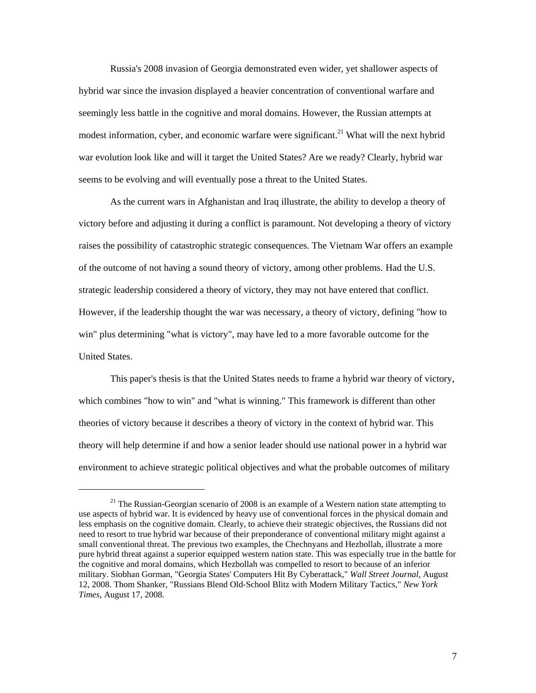Russia's 2008 invasion of Georgia demonstrated even wider, yet shallower aspects of hybrid war since the invasion displayed a heavier concentration of conventional warfare and seemingly less battle in the cognitive and moral domains. However, the Russian attempts at modest information, cyber, and economic warfare were significant.<sup>21</sup> What will the next hybrid war evolution look like and will it target the United States? Are we ready? Clearly, hybrid war seems to be evolving and will eventually pose a threat to the United States.

As the current wars in Afghanistan and Iraq illustrate, the ability to develop a theory of victory before and adjusting it during a conflict is paramount. Not developing a theory of victory raises the possibility of catastrophic strategic consequences. The Vietnam War offers an example of the outcome of not having a sound theory of victory, among other problems. Had the U.S. strategic leadership considered a theory of victory, they may not have entered that conflict. However, if the leadership thought the war was necessary, a theory of victory, defining "how to win" plus determining "what is victory", may have led to a more favorable outcome for the United States.

 This paper's thesis is that the United States needs to frame a hybrid war theory of victory, which combines "how to win" and "what is winning." This framework is different than other theories of victory because it describes a theory of victory in the context of hybrid war. This theory will help determine if and how a senior leader should use national power in a hybrid war environment to achieve strategic political objectives and what the probable outcomes of military

 $21$  The Russian-Georgian scenario of 2008 is an example of a Western nation state attempting to use aspects of hybrid war. It is evidenced by heavy use of conventional forces in the physical domain and less emphasis on the cognitive domain. Clearly, to achieve their strategic objectives, the Russians did not need to resort to true hybrid war because of their preponderance of conventional military might against a small conventional threat. The previous two examples, the Chechnyans and Hezbollah, illustrate a more pure hybrid threat against a superior equipped western nation state. This was especially true in the battle for the cognitive and moral domains, which Hezbollah was compelled to resort to because of an inferior military. Siobhan Gorman, "Georgia States' Computers Hit By Cyberattack," *Wall Street Journal,* August 12, 2008. Thom Shanker, "Russians Blend Old-School Blitz with Modern Military Tactics," *New York Times,* August 17, 2008.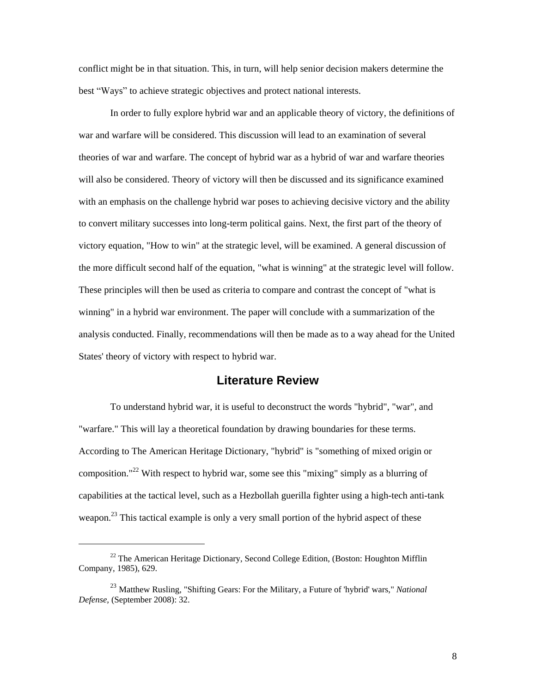conflict might be in that situation. This, in turn, will help senior decision makers determine the best "Ways" to achieve strategic objectives and protect national interests.

 In order to fully explore hybrid war and an applicable theory of victory, the definitions of war and warfare will be considered. This discussion will lead to an examination of several theories of war and warfare. The concept of hybrid war as a hybrid of war and warfare theories will also be considered. Theory of victory will then be discussed and its significance examined with an emphasis on the challenge hybrid war poses to achieving decisive victory and the ability to convert military successes into long-term political gains. Next, the first part of the theory of victory equation, "How to win" at the strategic level, will be examined. A general discussion of the more difficult second half of the equation, "what is winning" at the strategic level will follow. These principles will then be used as criteria to compare and contrast the concept of "what is winning" in a hybrid war environment. The paper will conclude with a summarization of the analysis conducted. Finally, recommendations will then be made as to a way ahead for the United States' theory of victory with respect to hybrid war.

### **Literature Review**

 To understand hybrid war, it is useful to deconstruct the words "hybrid", "war", and "warfare." This will lay a theoretical foundation by drawing boundaries for these terms. According to The American Heritage Dictionary, "hybrid" is "something of mixed origin or composition."<sup>22</sup> With respect to hybrid war, some see this "mixing" simply as a blurring of capabilities at the tactical level, such as a Hezbollah guerilla fighter using a high-tech anti-tank weapon.<sup>23</sup> This tactical example is only a very small portion of the hybrid aspect of these

<sup>&</sup>lt;sup>22</sup> The American Heritage Dictionary, Second College Edition, (Boston: Houghton Mifflin Company, 1985), 629.

<sup>23</sup> Matthew Rusling, "Shifting Gears: For the Military, a Future of 'hybrid' wars," *National Defense,* (September 2008): 32.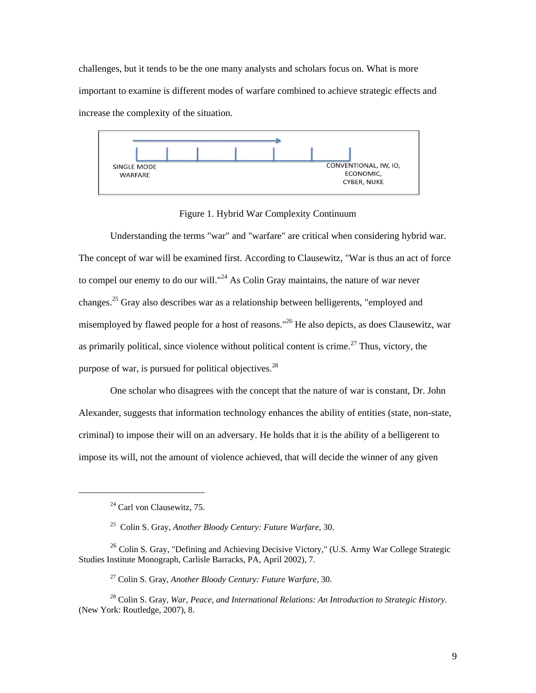challenges, but it tends to be the one many analysts and scholars focus on. What is more important to examine is different modes of warfare combined to achieve strategic effects and increase the complexity of the situation.



Figure 1. Hybrid War Complexity Continuum

 Understanding the terms "war" and "warfare" are critical when considering hybrid war. The concept of war will be examined first. According to Clausewitz, "War is thus an act of force to compel our enemy to do our will."<sup>24</sup> As Colin Gray maintains, the nature of war never changes.<sup>25</sup> Gray also describes war as a relationship between belligerents, "employed and misemployed by flawed people for a host of reasons.<sup>"26</sup> He also depicts, as does Clausewitz, war as primarily political, since violence without political content is crime.<sup>27</sup> Thus, victory, the purpose of war, is pursued for political objectives. $^{28}$ 

 One scholar who disagrees with the concept that the nature of war is constant, Dr. John Alexander, suggests that information technology enhances the ability of entities (state, non-state, criminal) to impose their will on an adversary. He holds that it is the ability of a belligerent to impose its will, not the amount of violence achieved, that will decide the winner of any given

 $\overline{a}$ 

<sup>27</sup> Colin S. Gray, *Another Bloody Century: Future Warfare,* 30.

<sup>28</sup> Colin S. Gray, *War, Peace, and International Relations: An Introduction to Strategic History.*  (New York: Routledge, 2007), 8.

<sup>24</sup> Carl von Clausewitz, 75.

<sup>25</sup> Colin S. Gray, *Another Bloody Century: Future Warfare*, 30.

<sup>&</sup>lt;sup>26</sup> Colin S. Gray, "Defining and Achieving Decisive Victory," (U.S. Army War College Strategic Studies Institute Monograph, Carlisle Barracks, PA, April 2002), 7.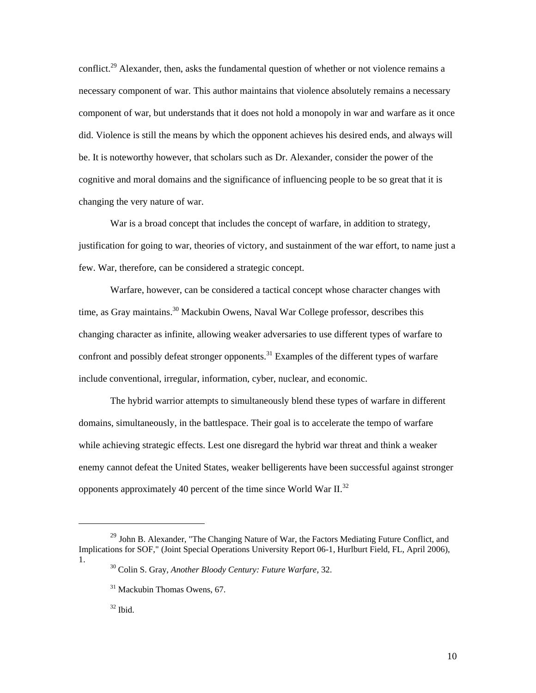conflict.<sup>29</sup> Alexander, then, asks the fundamental question of whether or not violence remains a necessary component of war. This author maintains that violence absolutely remains a necessary component of war, but understands that it does not hold a monopoly in war and warfare as it once did. Violence is still the means by which the opponent achieves his desired ends, and always will be. It is noteworthy however, that scholars such as Dr. Alexander, consider the power of the cognitive and moral domains and the significance of influencing people to be so great that it is changing the very nature of war.

 War is a broad concept that includes the concept of warfare, in addition to strategy, justification for going to war, theories of victory, and sustainment of the war effort, to name just a few. War, therefore, can be considered a strategic concept.

 Warfare, however, can be considered a tactical concept whose character changes with time, as Gray maintains.<sup>30</sup> Mackubin Owens, Naval War College professor, describes this changing character as infinite, allowing weaker adversaries to use different types of warfare to confront and possibly defeat stronger opponents.<sup>31</sup> Examples of the different types of warfare include conventional, irregular, information, cyber, nuclear, and economic.

 The hybrid warrior attempts to simultaneously blend these types of warfare in different domains, simultaneously, in the battlespace. Their goal is to accelerate the tempo of warfare while achieving strategic effects. Lest one disregard the hybrid war threat and think a weaker enemy cannot defeat the United States, weaker belligerents have been successful against stronger opponents approximately 40 percent of the time since World War II.<sup>32</sup>

 $^{29}$  John B. Alexander, "The Changing Nature of War, the Factors Mediating Future Conflict, and Implications for SOF," (Joint Special Operations University Report 06-1*,* Hurlburt Field, FL, April 2006), 1.

<sup>30</sup> Colin S. Gray, *Another Bloody Century: Future Warfare*, 32.

 $31$  Mackubin Thomas Owens, 67.

 $32$  Ibid.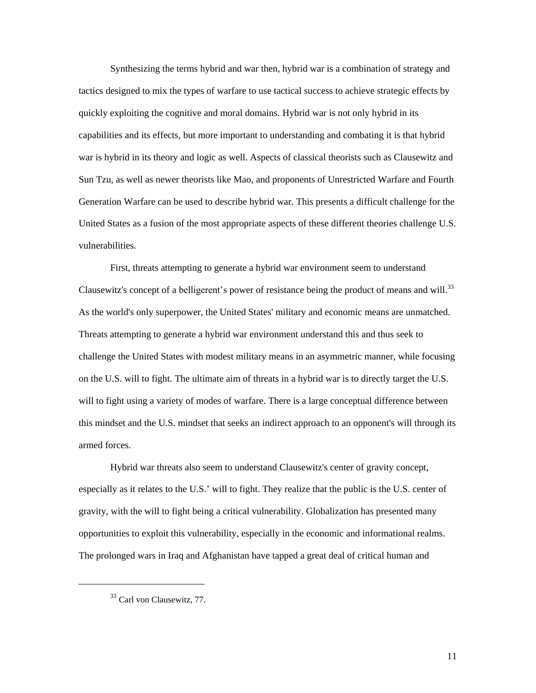Synthesizing the terms hybrid and war then, hybrid war is a combination of strategy and tactics designed to mix the types of warfare to use tactical success to achieve strategic effects by quickly exploiting the cognitive and moral domains. Hybrid war is not only hybrid in its capabilities and its effects, but more important to understanding and combating it is that hybrid war is hybrid in its theory and logic as well. Aspects of classical theorists such as Clausewitz and Sun Tzu, as well as newer theorists like Mao, and proponents of Unrestricted Warfare and Fourth Generation Warfare can be used to describe hybrid war. This presents a difficult challenge for the United States as a fusion of the most appropriate aspects of these different theories challenge U.S. vulnerabilities.

 First, threats attempting to generate a hybrid war environment seem to understand Clausewitz's concept of a belligerent's power of resistance being the product of means and will.<sup>33</sup> As the world's only superpower, the United States' military and economic means are unmatched. Threats attempting to generate a hybrid war environment understand this and thus seek to challenge the United States with modest military means in an asymmetric manner, while focusing on the U.S. will to fight. The ultimate aim of threats in a hybrid war is to directly target the U.S. will to fight using a variety of modes of warfare. There is a large conceptual difference between this mindset and the U.S. mindset that seeks an indirect approach to an opponent's will through its armed forces.

 Hybrid war threats also seem to understand Clausewitz's center of gravity concept, especially as it relates to the U.S.' will to fight. They realize that the public is the U.S. center of gravity, with the will to fight being a critical vulnerability. Globalization has presented many opportunities to exploit this vulnerability, especially in the economic and informational realms. The prolonged wars in Iraq and Afghanistan have tapped a great deal of critical human and

<sup>33</sup> Carl von Clausewitz*,* 77.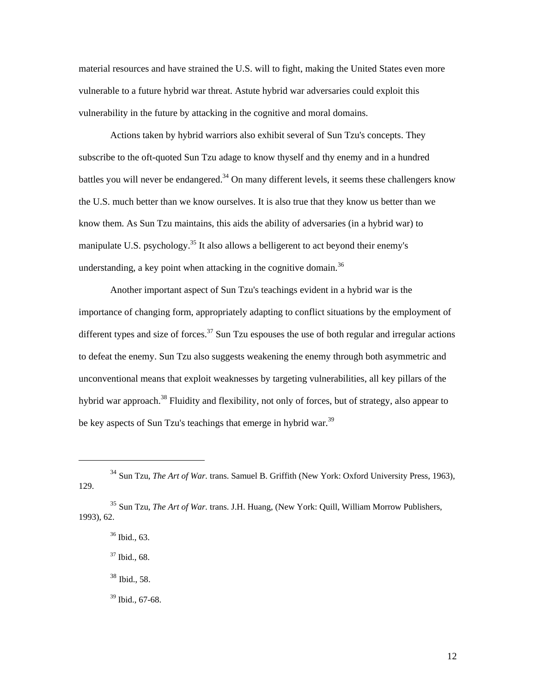material resources and have strained the U.S. will to fight, making the United States even more vulnerable to a future hybrid war threat. Astute hybrid war adversaries could exploit this vulnerability in the future by attacking in the cognitive and moral domains.

 Actions taken by hybrid warriors also exhibit several of Sun Tzu's concepts. They subscribe to the oft-quoted Sun Tzu adage to know thyself and thy enemy and in a hundred battles you will never be endangered.<sup>34</sup> On many different levels, it seems these challengers know the U.S. much better than we know ourselves. It is also true that they know us better than we know them. As Sun Tzu maintains, this aids the ability of adversaries (in a hybrid war) to manipulate U.S. psychology.<sup>35</sup> It also allows a belligerent to act beyond their enemy's understanding, a key point when attacking in the cognitive domain.<sup>36</sup>

 Another important aspect of Sun Tzu's teachings evident in a hybrid war is the importance of changing form, appropriately adapting to conflict situations by the employment of different types and size of forces.<sup>37</sup> Sun Tzu espouses the use of both regular and irregular actions to defeat the enemy. Sun Tzu also suggests weakening the enemy through both asymmetric and unconventional means that exploit weaknesses by targeting vulnerabilities, all key pillars of the hybrid war approach.<sup>38</sup> Fluidity and flexibility, not only of forces, but of strategy, also appear to be key aspects of Sun Tzu's teachings that emerge in hybrid war.<sup>39</sup>

<sup>&</sup>lt;sup>34</sup> Sun Tzu, *The Art of War.* trans. Samuel B. Griffith (New York: Oxford University Press, 1963), 129.

<sup>35</sup> Sun Tzu, *The Art of War.* trans. J.H. Huang, (New York: Quill, William Morrow Publishers, 1993), 62.

 $36$  Ibid., 63.

<sup>37</sup> Ibid., 68.

<sup>38</sup> Ibid., 58.

 $39$  Ibid., 67-68.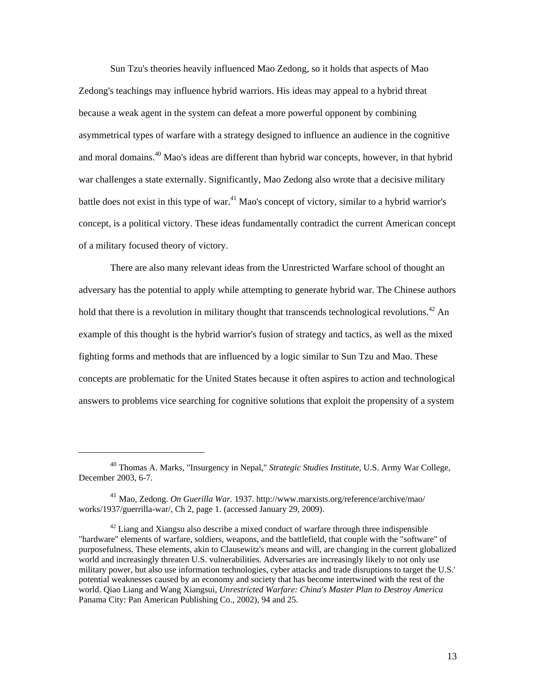Sun Tzu's theories heavily influenced Mao Zedong, so it holds that aspects of Mao Zedong's teachings may influence hybrid warriors. His ideas may appeal to a hybrid threat because a weak agent in the system can defeat a more powerful opponent by combining asymmetrical types of warfare with a strategy designed to influence an audience in the cognitive and moral domains.<sup>40</sup> Mao's ideas are different than hybrid war concepts, however, in that hybrid war challenges a state externally. Significantly, Mao Zedong also wrote that a decisive military battle does not exist in this type of war.<sup>41</sup> Mao's concept of victory, similar to a hybrid warrior's concept, is a political victory. These ideas fundamentally contradict the current American concept of a military focused theory of victory.

 There are also many relevant ideas from the Unrestricted Warfare school of thought an adversary has the potential to apply while attempting to generate hybrid war. The Chinese authors hold that there is a revolution in military thought that transcends technological revolutions.<sup>42</sup> An example of this thought is the hybrid warrior's fusion of strategy and tactics, as well as the mixed fighting forms and methods that are influenced by a logic similar to Sun Tzu and Mao. These concepts are problematic for the United States because it often aspires to action and technological answers to problems vice searching for cognitive solutions that exploit the propensity of a system

<sup>40</sup> Thomas A. Marks, "Insurgency in Nepal," *Strategic Studies Institute,* U.S. Army War College, December 2003, 6-7.

<sup>41</sup> Mao, Zedong. *On Guerilla War.* 1937. http://www.marxists.org/reference/archive/mao/ works/1937/guerrilla-war/, Ch 2, page 1. (accessed January 29, 2009).

 $42$  Liang and Xiangsu also describe a mixed conduct of warfare through three indispensible "hardware" elements of warfare, soldiers, weapons, and the battlefield, that couple with the "software" of purposefulness. These elements, akin to Clausewitz's means and will, are changing in the current globalized world and increasingly threaten U.S. vulnerabilities. Adversaries are increasingly likely to not only use military power, but also use information technologies, cyber attacks and trade disruptions to target the U.S.' potential weaknesses caused by an economy and society that has become intertwined with the rest of the world. Qiao Liang and Wang Xiangsui, *Unrestricted Warfare: China's Master Plan to Destroy America*  Panama City: Pan American Publishing Co., 2002), 94 and 25.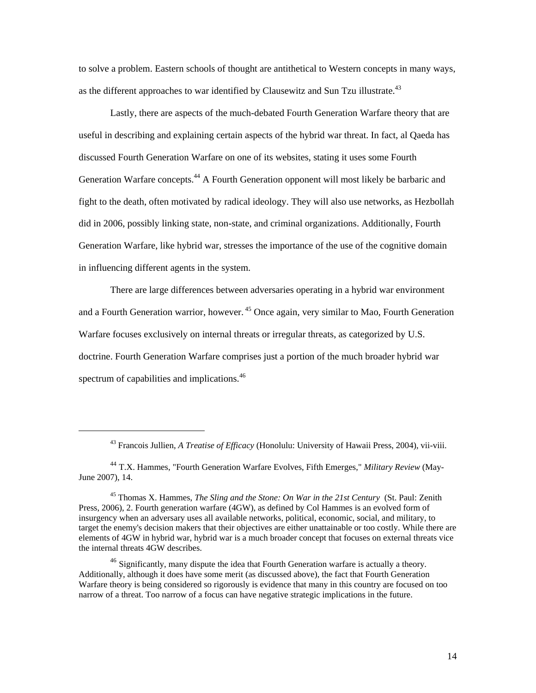to solve a problem. Eastern schools of thought are antithetical to Western concepts in many ways, as the different approaches to war identified by Clausewitz and Sun Tzu illustrate. $43$ 

 Lastly, there are aspects of the much-debated Fourth Generation Warfare theory that are useful in describing and explaining certain aspects of the hybrid war threat. In fact, al Qaeda has discussed Fourth Generation Warfare on one of its websites, stating it uses some Fourth Generation Warfare concepts.<sup>44</sup> A Fourth Generation opponent will most likely be barbaric and fight to the death, often motivated by radical ideology. They will also use networks, as Hezbollah did in 2006, possibly linking state, non-state, and criminal organizations. Additionally, Fourth Generation Warfare, like hybrid war, stresses the importance of the use of the cognitive domain in influencing different agents in the system.

 There are large differences between adversaries operating in a hybrid war environment and a Fourth Generation warrior, however.<sup>45</sup> Once again, very similar to Mao, Fourth Generation Warfare focuses exclusively on internal threats or irregular threats, as categorized by U.S. doctrine. Fourth Generation Warfare comprises just a portion of the much broader hybrid war spectrum of capabilities and implications.<sup>46</sup>

<sup>43</sup> Francois Jullien, *A Treatise of Efficacy* (Honolulu: University of Hawaii Press, 2004), vii-viii.

<sup>44</sup> T.X. Hammes, "Fourth Generation Warfare Evolves, Fifth Emerges," *Military Review* (May-June 2007), 14.

<sup>45</sup> Thomas X. Hammes, *The Sling and the Stone: On War in the 21st Century* (St. Paul: Zenith Press, 2006), 2. Fourth generation warfare (4GW), as defined by Col Hammes is an evolved form of insurgency when an adversary uses all available networks, political, economic, social, and military, to target the enemy's decision makers that their objectives are either unattainable or too costly. While there are elements of 4GW in hybrid war, hybrid war is a much broader concept that focuses on external threats vice the internal threats 4GW describes.

 $46$  Significantly, many dispute the idea that Fourth Generation warfare is actually a theory. Additionally, although it does have some merit (as discussed above), the fact that Fourth Generation Warfare theory is being considered so rigorously is evidence that many in this country are focused on too narrow of a threat. Too narrow of a focus can have negative strategic implications in the future.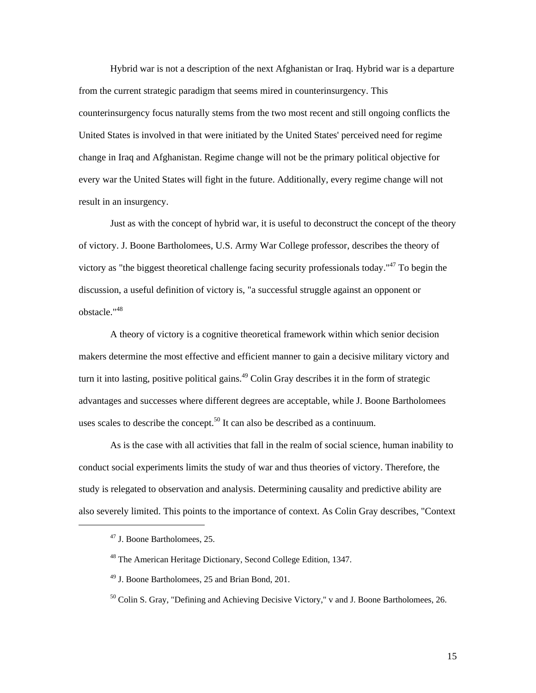Hybrid war is not a description of the next Afghanistan or Iraq. Hybrid war is a departure from the current strategic paradigm that seems mired in counterinsurgency. This counterinsurgency focus naturally stems from the two most recent and still ongoing conflicts the United States is involved in that were initiated by the United States' perceived need for regime change in Iraq and Afghanistan. Regime change will not be the primary political objective for every war the United States will fight in the future. Additionally, every regime change will not result in an insurgency.

 Just as with the concept of hybrid war, it is useful to deconstruct the concept of the theory of victory. J. Boone Bartholomees, U.S. Army War College professor, describes the theory of victory as "the biggest theoretical challenge facing security professionals today."<sup>47</sup> To begin the discussion, a useful definition of victory is, "a successful struggle against an opponent or obstacle."<sup>48</sup>

 A theory of victory is a cognitive theoretical framework within which senior decision makers determine the most effective and efficient manner to gain a decisive military victory and turn it into lasting, positive political gains.<sup>49</sup> Colin Gray describes it in the form of strategic advantages and successes where different degrees are acceptable, while J. Boone Bartholomees uses scales to describe the concept.<sup>50</sup> It can also be described as a continuum.

 As is the case with all activities that fall in the realm of social science, human inability to conduct social experiments limits the study of war and thus theories of victory. Therefore, the study is relegated to observation and analysis. Determining causality and predictive ability are also severely limited. This points to the importance of context. As Colin Gray describes, "Context

 $\overline{a}$ 

15

<sup>47</sup> J. Boone Bartholomees, 25.

<sup>48</sup> The American Heritage Dictionary, Second College Edition, 1347.

<sup>49</sup> J. Boone Bartholomees, 25 and Brian Bond, 201.

 $50$  Colin S. Gray, "Defining and Achieving Decisive Victory," v and J. Boone Bartholomees, 26.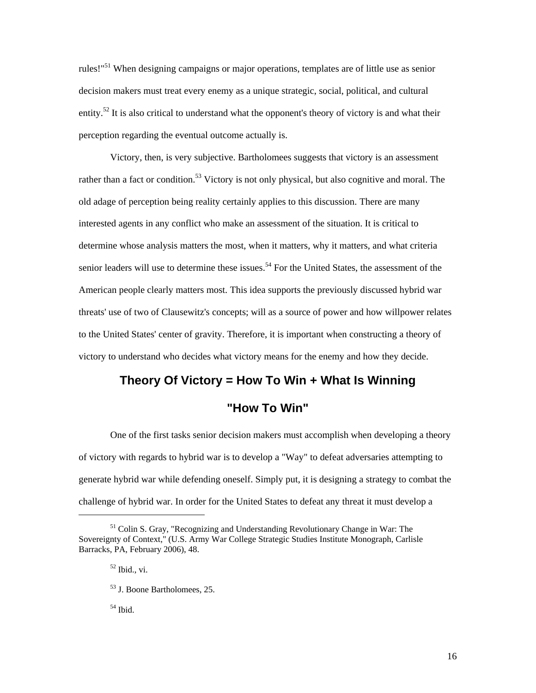rules!"<sup>51</sup> When designing campaigns or major operations, templates are of little use as senior decision makers must treat every enemy as a unique strategic, social, political, and cultural entity.<sup>52</sup> It is also critical to understand what the opponent's theory of victory is and what their perception regarding the eventual outcome actually is.

 Victory, then, is very subjective. Bartholomees suggests that victory is an assessment rather than a fact or condition.<sup>53</sup> Victory is not only physical, but also cognitive and moral. The old adage of perception being reality certainly applies to this discussion. There are many interested agents in any conflict who make an assessment of the situation. It is critical to determine whose analysis matters the most, when it matters, why it matters, and what criteria senior leaders will use to determine these issues.<sup>54</sup> For the United States, the assessment of the American people clearly matters most. This idea supports the previously discussed hybrid war threats' use of two of Clausewitz's concepts; will as a source of power and how willpower relates to the United States' center of gravity. Therefore, it is important when constructing a theory of victory to understand who decides what victory means for the enemy and how they decide.

## **Theory Of Victory = How To Win + What Is Winning**

## **"How To Win"**

 One of the first tasks senior decision makers must accomplish when developing a theory of victory with regards to hybrid war is to develop a "Way" to defeat adversaries attempting to generate hybrid war while defending oneself. Simply put, it is designing a strategy to combat the challenge of hybrid war. In order for the United States to defeat any threat it must develop a

<sup>&</sup>lt;sup>51</sup> Colin S. Gray, "Recognizing and Understanding Revolutionary Change in War: The Sovereignty of Context," (U.S. Army War College Strategic Studies Institute Monograph, Carlisle Barracks, PA, February 2006), 48.

 $52$  Ibid., vi.

<sup>53</sup> J. Boone Bartholomees, 25.

 $54$  Ibid.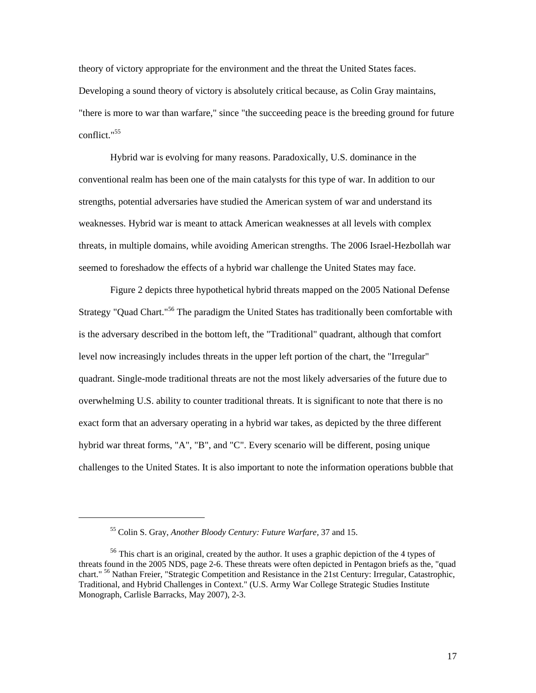theory of victory appropriate for the environment and the threat the United States faces. Developing a sound theory of victory is absolutely critical because, as Colin Gray maintains, "there is more to war than warfare," since "the succeeding peace is the breeding ground for future conflict."<sup>55</sup>

 Hybrid war is evolving for many reasons. Paradoxically, U.S. dominance in the conventional realm has been one of the main catalysts for this type of war. In addition to our strengths, potential adversaries have studied the American system of war and understand its weaknesses. Hybrid war is meant to attack American weaknesses at all levels with complex threats, in multiple domains, while avoiding American strengths. The 2006 Israel-Hezbollah war seemed to foreshadow the effects of a hybrid war challenge the United States may face.

Figure 2 depicts three hypothetical hybrid threats mapped on the 2005 National Defense Strategy "Quad Chart."<sup>56</sup> The paradigm the United States has traditionally been comfortable with is the adversary described in the bottom left, the "Traditional" quadrant, although that comfort level now increasingly includes threats in the upper left portion of the chart, the "Irregular" quadrant. Single-mode traditional threats are not the most likely adversaries of the future due to overwhelming U.S. ability to counter traditional threats. It is significant to note that there is no exact form that an adversary operating in a hybrid war takes, as depicted by the three different hybrid war threat forms, "A", "B", and "C". Every scenario will be different, posing unique challenges to the United States. It is also important to note the information operations bubble that

<sup>55</sup> Colin S. Gray, *Another Bloody Century: Future Warfare,* 37 and 15.

<sup>&</sup>lt;sup>56</sup> This chart is an original, created by the author. It uses a graphic depiction of the 4 types of threats found in the 2005 NDS, page 2-6. These threats were often depicted in Pentagon briefs as the, "quad chart." <sup>56</sup> Nathan Freier, "Strategic Competition and Resistance in the 21st Century: Irregular, Catastrophic, Traditional, and Hybrid Challenges in Context." (U.S. Army War College Strategic Studies Institute Monograph, Carlisle Barracks, May 2007), 2-3.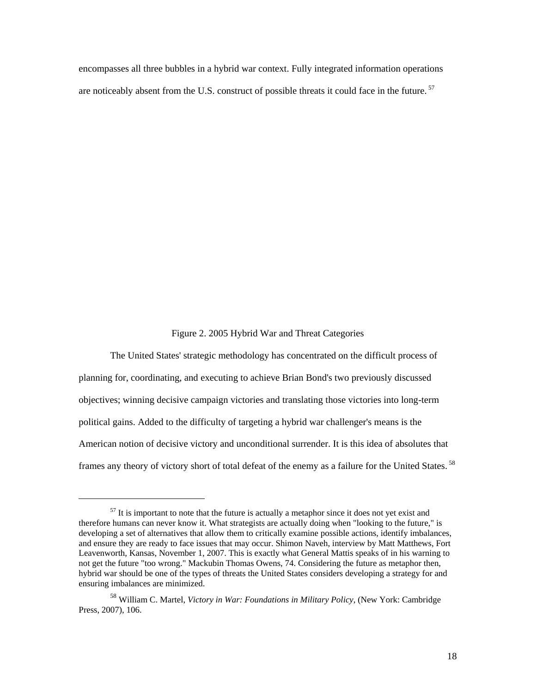encompasses all three bubbles in a hybrid war context. Fully integrated information operations are noticeably absent from the U.S. construct of possible threats it could face in the future.  $5^{7}$ 

#### Figure 2. 2005 Hybrid War and Threat Categories

 The United States' strategic methodology has concentrated on the difficult process of planning for, coordinating, and executing to achieve Brian Bond's two previously discussed objectives; winning decisive campaign victories and translating those victories into long-term political gains. Added to the difficulty of targeting a hybrid war challenger's means is the American notion of decisive victory and unconditional surrender. It is this idea of absolutes that frames any theory of victory short of total defeat of the enemy as a failure for the United States.<sup>58</sup>

 $<sup>57</sup>$  It is important to note that the future is actually a metaphor since it does not yet exist and</sup> therefore humans can never know it. What strategists are actually doing when "looking to the future," is developing a set of alternatives that allow them to critically examine possible actions, identify imbalances, and ensure they are ready to face issues that may occur. Shimon Naveh, interview by Matt Matthews, Fort Leavenworth, Kansas, November 1, 2007. This is exactly what General Mattis speaks of in his warning to not get the future "too wrong." Mackubin Thomas Owens, 74. Considering the future as metaphor then, hybrid war should be one of the types of threats the United States considers developing a strategy for and ensuring imbalances are minimized.

<sup>58</sup> William C. Martel, *Victory in War: Foundations in Military Policy,* (New York: Cambridge Press, 2007), 106.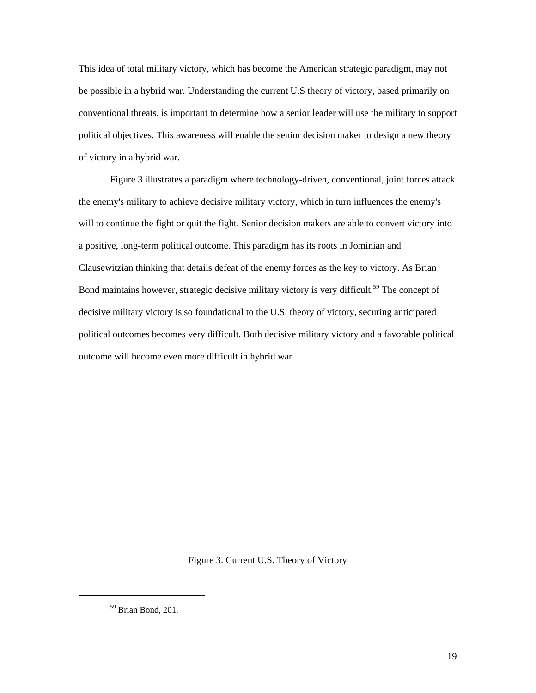This idea of total military victory, which has become the American strategic paradigm, may not be possible in a hybrid war. Understanding the current U.S theory of victory, based primarily on conventional threats, is important to determine how a senior leader will use the military to support political objectives. This awareness will enable the senior decision maker to design a new theory of victory in a hybrid war.

 Figure 3 illustrates a paradigm where technology-driven, conventional, joint forces attack the enemy's military to achieve decisive military victory, which in turn influences the enemy's will to continue the fight or quit the fight. Senior decision makers are able to convert victory into a positive, long-term political outcome. This paradigm has its roots in Jominian and Clausewitzian thinking that details defeat of the enemy forces as the key to victory. As Brian Bond maintains however, strategic decisive military victory is very difficult.<sup>59</sup> The concept of decisive military victory is so foundational to the U.S. theory of victory, securing anticipated political outcomes becomes very difficult. Both decisive military victory and a favorable political outcome will become even more difficult in hybrid war.

Figure 3. Current U.S. Theory of Victory

<sup>59</sup> Brian Bond*,* 201.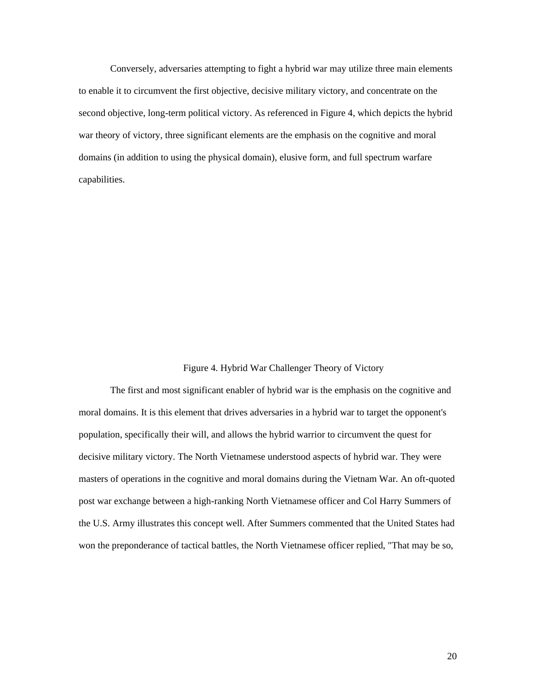Conversely, adversaries attempting to fight a hybrid war may utilize three main elements to enable it to circumvent the first objective, decisive military victory, and concentrate on the second objective, long-term political victory. As referenced in Figure 4, which depicts the hybrid war theory of victory, three significant elements are the emphasis on the cognitive and moral domains (in addition to using the physical domain), elusive form, and full spectrum warfare capabilities.

#### Figure 4. Hybrid War Challenger Theory of Victory

 The first and most significant enabler of hybrid war is the emphasis on the cognitive and moral domains. It is this element that drives adversaries in a hybrid war to target the opponent's population, specifically their will, and allows the hybrid warrior to circumvent the quest for decisive military victory. The North Vietnamese understood aspects of hybrid war. They were masters of operations in the cognitive and moral domains during the Vietnam War. An oft-quoted post war exchange between a high-ranking North Vietnamese officer and Col Harry Summers of the U.S. Army illustrates this concept well. After Summers commented that the United States had won the preponderance of tactical battles, the North Vietnamese officer replied, "That may be so,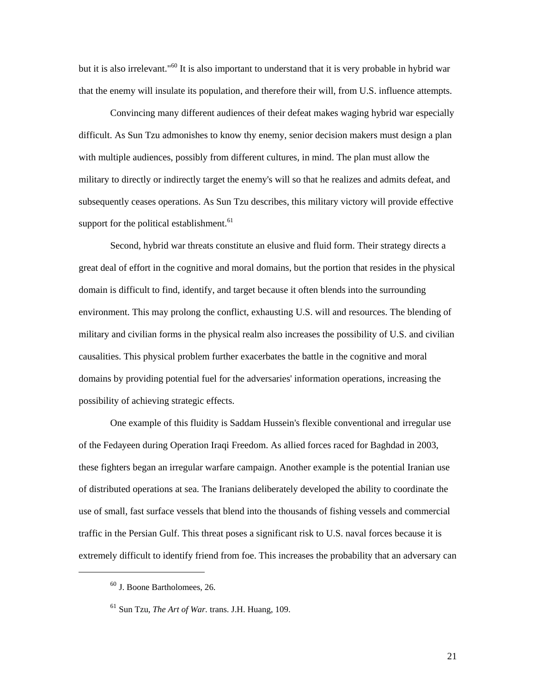but it is also irrelevant."<sup>60</sup> It is also important to understand that it is very probable in hybrid war that the enemy will insulate its population, and therefore their will, from U.S. influence attempts.

 Convincing many different audiences of their defeat makes waging hybrid war especially difficult. As Sun Tzu admonishes to know thy enemy, senior decision makers must design a plan with multiple audiences, possibly from different cultures, in mind. The plan must allow the military to directly or indirectly target the enemy's will so that he realizes and admits defeat, and subsequently ceases operations. As Sun Tzu describes, this military victory will provide effective support for the political establishment.<sup>61</sup>

 Second, hybrid war threats constitute an elusive and fluid form. Their strategy directs a great deal of effort in the cognitive and moral domains, but the portion that resides in the physical domain is difficult to find, identify, and target because it often blends into the surrounding environment. This may prolong the conflict, exhausting U.S. will and resources. The blending of military and civilian forms in the physical realm also increases the possibility of U.S. and civilian causalities. This physical problem further exacerbates the battle in the cognitive and moral domains by providing potential fuel for the adversaries' information operations, increasing the possibility of achieving strategic effects.

 One example of this fluidity is Saddam Hussein's flexible conventional and irregular use of the Fedayeen during Operation Iraqi Freedom. As allied forces raced for Baghdad in 2003, these fighters began an irregular warfare campaign. Another example is the potential Iranian use of distributed operations at sea. The Iranians deliberately developed the ability to coordinate the use of small, fast surface vessels that blend into the thousands of fishing vessels and commercial traffic in the Persian Gulf. This threat poses a significant risk to U.S. naval forces because it is extremely difficult to identify friend from foe. This increases the probability that an adversary can

 $\overline{a}$ 

21

<sup>60</sup> J. Boone Bartholomees, 26.

<sup>61</sup> Sun Tzu, *The Art of War.* trans. J.H. Huang, 109.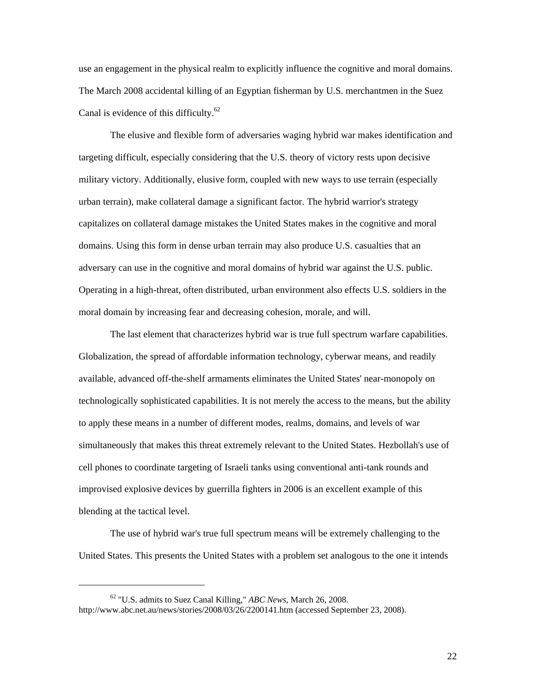use an engagement in the physical realm to explicitly influence the cognitive and moral domains. The March 2008 accidental killing of an Egyptian fisherman by U.S. merchantmen in the Suez Canal is evidence of this difficulty.<sup>62</sup>

 The elusive and flexible form of adversaries waging hybrid war makes identification and targeting difficult, especially considering that the U.S. theory of victory rests upon decisive military victory. Additionally, elusive form, coupled with new ways to use terrain (especially urban terrain), make collateral damage a significant factor. The hybrid warrior's strategy capitalizes on collateral damage mistakes the United States makes in the cognitive and moral domains. Using this form in dense urban terrain may also produce U.S. casualties that an adversary can use in the cognitive and moral domains of hybrid war against the U.S. public. Operating in a high-threat, often distributed, urban environment also effects U.S. soldiers in the moral domain by increasing fear and decreasing cohesion, morale, and will.

 The last element that characterizes hybrid war is true full spectrum warfare capabilities. Globalization, the spread of affordable information technology, cyberwar means, and readily available, advanced off-the-shelf armaments eliminates the United States' near-monopoly on technologically sophisticated capabilities. It is not merely the access to the means, but the ability to apply these means in a number of different modes, realms, domains, and levels of war simultaneously that makes this threat extremely relevant to the United States. Hezbollah's use of cell phones to coordinate targeting of Israeli tanks using conventional anti-tank rounds and improvised explosive devices by guerrilla fighters in 2006 is an excellent example of this blending at the tactical level.

 The use of hybrid war's true full spectrum means will be extremely challenging to the United States. This presents the United States with a problem set analogous to the one it intends

 $\overline{\phantom{a}}$ 

22

<sup>62</sup> "U.S. admits to Suez Canal Killing," *ABC News*, March 26, 2008. http://www.abc.net.au/news/stories/2008/03/26/2200141.htm (accessed September 23, 2008).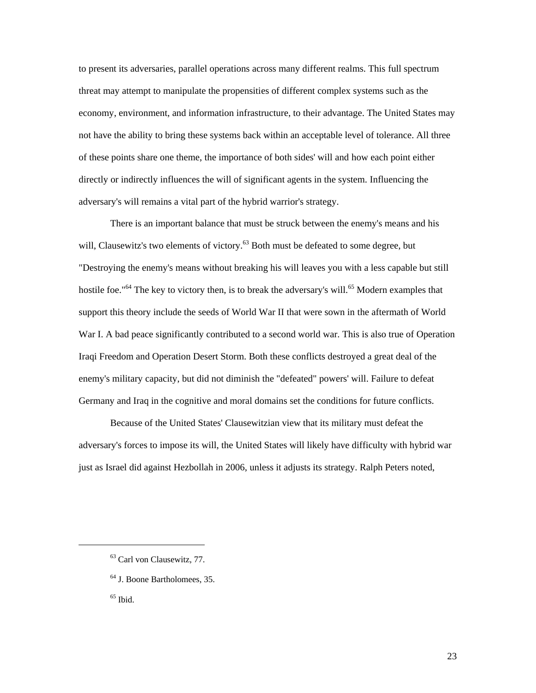to present its adversaries, parallel operations across many different realms. This full spectrum threat may attempt to manipulate the propensities of different complex systems such as the economy, environment, and information infrastructure, to their advantage. The United States may not have the ability to bring these systems back within an acceptable level of tolerance. All three of these points share one theme, the importance of both sides' will and how each point either directly or indirectly influences the will of significant agents in the system. Influencing the adversary's will remains a vital part of the hybrid warrior's strategy.

 There is an important balance that must be struck between the enemy's means and his will, Clausewitz's two elements of victory.<sup>63</sup> Both must be defeated to some degree, but "Destroying the enemy's means without breaking his will leaves you with a less capable but still hostile foe."<sup>64</sup> The key to victory then, is to break the adversary's will.<sup>65</sup> Modern examples that support this theory include the seeds of World War II that were sown in the aftermath of World War I. A bad peace significantly contributed to a second world war. This is also true of Operation Iraqi Freedom and Operation Desert Storm. Both these conflicts destroyed a great deal of the enemy's military capacity, but did not diminish the "defeated" powers' will. Failure to defeat Germany and Iraq in the cognitive and moral domains set the conditions for future conflicts.

 Because of the United States' Clausewitzian view that its military must defeat the adversary's forces to impose its will, the United States will likely have difficulty with hybrid war just as Israel did against Hezbollah in 2006, unless it adjusts its strategy. Ralph Peters noted,

<sup>63</sup> Carl von Clausewitz*,* 77.

<sup>64</sup> J. Boone Bartholomees, 35.

 $65$  Ibid.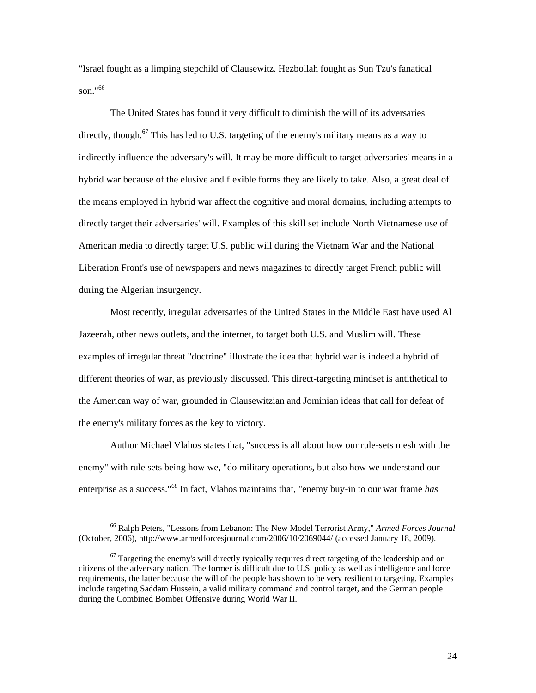"Israel fought as a limping stepchild of Clausewitz. Hezbollah fought as Sun Tzu's fanatical son $^{166}$ 

 The United States has found it very difficult to diminish the will of its adversaries directly, though.<sup>67</sup> This has led to U.S. targeting of the enemy's military means as a way to indirectly influence the adversary's will. It may be more difficult to target adversaries' means in a hybrid war because of the elusive and flexible forms they are likely to take. Also, a great deal of the means employed in hybrid war affect the cognitive and moral domains, including attempts to directly target their adversaries' will. Examples of this skill set include North Vietnamese use of American media to directly target U.S. public will during the Vietnam War and the National Liberation Front's use of newspapers and news magazines to directly target French public will during the Algerian insurgency.

 Most recently, irregular adversaries of the United States in the Middle East have used Al Jazeerah, other news outlets, and the internet, to target both U.S. and Muslim will. These examples of irregular threat "doctrine" illustrate the idea that hybrid war is indeed a hybrid of different theories of war, as previously discussed. This direct-targeting mindset is antithetical to the American way of war, grounded in Clausewitzian and Jominian ideas that call for defeat of the enemy's military forces as the key to victory.

 Author Michael Vlahos states that, "success is all about how our rule-sets mesh with the enemy" with rule sets being how we, "do military operations, but also how we understand our enterprise as a success."<sup>68</sup> In fact, Vlahos maintains that, "enemy buy-in to our war frame *has*

<sup>66</sup> Ralph Peters, "Lessons from Lebanon: The New Model Terrorist Army," *Armed Forces Journal*  (October, 2006), http://www.armedforcesjournal.com/2006/10/2069044/ (accessed January 18, 2009).

 $67$  Targeting the enemy's will directly typically requires direct targeting of the leadership and or citizens of the adversary nation. The former is difficult due to U.S. policy as well as intelligence and force requirements, the latter because the will of the people has shown to be very resilient to targeting. Examples include targeting Saddam Hussein, a valid military command and control target, and the German people during the Combined Bomber Offensive during World War II.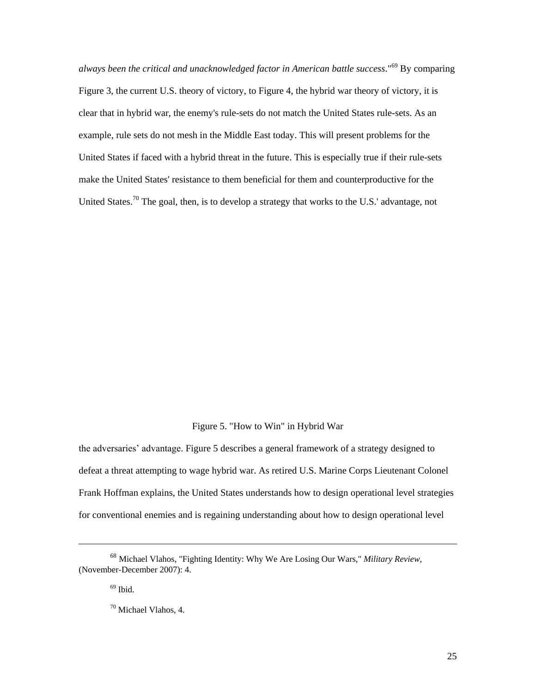*always been the critical and unacknowledged factor in American battle success*."<sup>69</sup> By comparing Figure 3, the current U.S. theory of victory, to Figure 4, the hybrid war theory of victory, it is clear that in hybrid war, the enemy's rule-sets do not match the United States rule-sets. As an example, rule sets do not mesh in the Middle East today. This will present problems for the United States if faced with a hybrid threat in the future. This is especially true if their rule-sets make the United States' resistance to them beneficial for them and counterproductive for the United States.<sup>70</sup> The goal, then, is to develop a strategy that works to the U.S.' advantage, not

#### Figure 5. "How to Win" in Hybrid War

the adversaries' advantage. Figure 5 describes a general framework of a strategy designed to defeat a threat attempting to wage hybrid war. As retired U.S. Marine Corps Lieutenant Colonel Frank Hoffman explains, the United States understands how to design operational level strategies for conventional enemies and is regaining understanding about how to design operational level

<sup>68</sup> Michael Vlahos, "Fighting Identity: Why We Are Losing Our Wars," *Military Review,*  (November-December 2007): 4.

 $69$  Ibid.

<sup>&</sup>lt;sup>70</sup> Michael Vlahos, 4.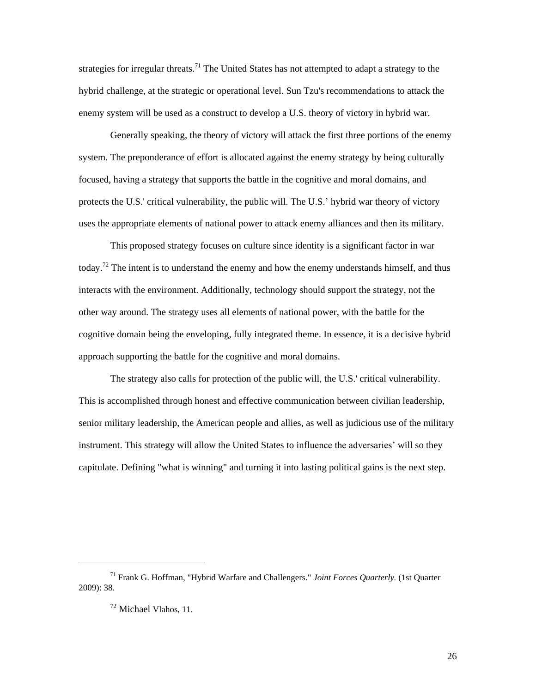strategies for irregular threats.<sup>71</sup> The United States has not attempted to adapt a strategy to the hybrid challenge, at the strategic or operational level. Sun Tzu's recommendations to attack the enemy system will be used as a construct to develop a U.S. theory of victory in hybrid war.

 Generally speaking, the theory of victory will attack the first three portions of the enemy system. The preponderance of effort is allocated against the enemy strategy by being culturally focused, having a strategy that supports the battle in the cognitive and moral domains, and protects the U.S.' critical vulnerability, the public will. The U.S.' hybrid war theory of victory uses the appropriate elements of national power to attack enemy alliances and then its military.

 This proposed strategy focuses on culture since identity is a significant factor in war today.<sup>72</sup> The intent is to understand the enemy and how the enemy understands himself, and thus interacts with the environment. Additionally, technology should support the strategy, not the other way around. The strategy uses all elements of national power, with the battle for the cognitive domain being the enveloping, fully integrated theme. In essence, it is a decisive hybrid approach supporting the battle for the cognitive and moral domains.

 The strategy also calls for protection of the public will, the U.S.' critical vulnerability. This is accomplished through honest and effective communication between civilian leadership, senior military leadership, the American people and allies, as well as judicious use of the military instrument. This strategy will allow the United States to influence the adversaries' will so they capitulate. Defining "what is winning" and turning it into lasting political gains is the next step.

<sup>71</sup> Frank G. Hoffman, "Hybrid Warfare and Challengers." *Joint Forces Quarterly.* (1st Quarter 2009): 38.

<sup>72</sup> Michael Vlahos, 11.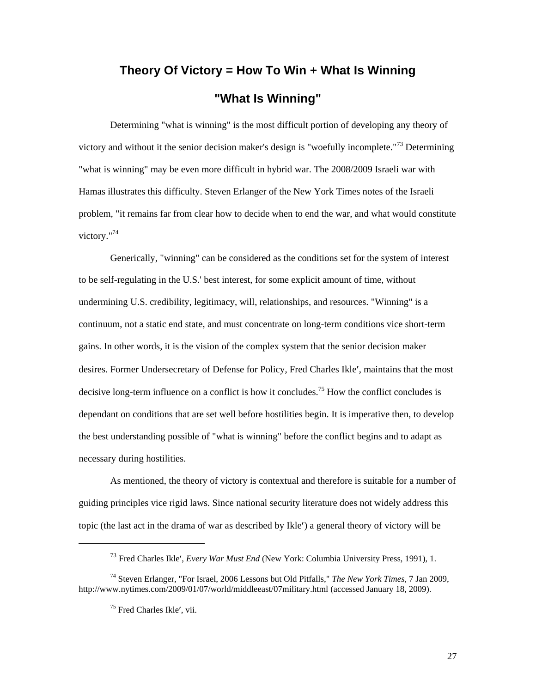# **Theory Of Victory = How To Win + What Is Winning "What Is Winning"**

 Determining "what is winning" is the most difficult portion of developing any theory of victory and without it the senior decision maker's design is "woefully incomplete."<sup>73</sup> Determining "what is winning" may be even more difficult in hybrid war. The 2008/2009 Israeli war with Hamas illustrates this difficulty. Steven Erlanger of the New York Times notes of the Israeli problem, "it remains far from clear how to decide when to end the war, and what would constitute victory."<sup>74</sup>

Generically, "winning" can be considered as the conditions set for the system of interest to be self-regulating in the U.S.' best interest, for some explicit amount of time, without undermining U.S. credibility, legitimacy, will, relationships, and resources. "Winning" is a continuum, not a static end state, and must concentrate on long-term conditions vice short-term gains. In other words, it is the vision of the complex system that the senior decision maker desires. Former Undersecretary of Defense for Policy, Fred Charles Ikle', maintains that the most decisive long-term influence on a conflict is how it concludes.<sup>75</sup> How the conflict concludes is dependant on conditions that are set well before hostilities begin. It is imperative then, to develop the best understanding possible of "what is winning" before the conflict begins and to adapt as necessary during hostilities.

 As mentioned, the theory of victory is contextual and therefore is suitable for a number of guiding principles vice rigid laws. Since national security literature does not widely address this topic (the last act in the drama of war as described by Ikle') a general theory of victory will be

<sup>&</sup>lt;sup>73</sup> Fred Charles Ikle', *Every War Must End* (New York: Columbia University Press, 1991), 1.

<sup>74</sup> Steven Erlanger, "For Israel, 2006 Lessons but Old Pitfalls," *The New York Times,* 7 Jan 2009, http://www.nytimes.com/2009/01/07/world/middleeast/07military.html (accessed January 18, 2009).

 $75$  Fred Charles Ikle', vii.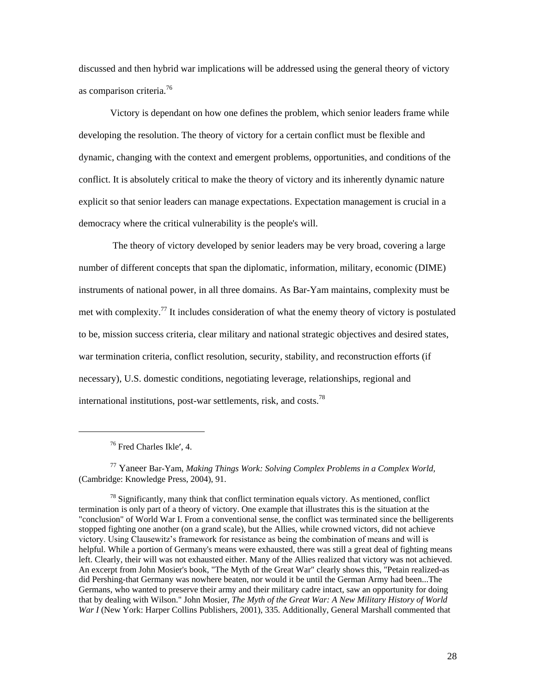discussed and then hybrid war implications will be addressed using the general theory of victory as comparison criteria.<sup>76</sup>

 Victory is dependant on how one defines the problem, which senior leaders frame while developing the resolution. The theory of victory for a certain conflict must be flexible and dynamic, changing with the context and emergent problems, opportunities, and conditions of the conflict. It is absolutely critical to make the theory of victory and its inherently dynamic nature explicit so that senior leaders can manage expectations. Expectation management is crucial in a democracy where the critical vulnerability is the people's will.

 The theory of victory developed by senior leaders may be very broad, covering a large number of different concepts that span the diplomatic, information, military, economic (DIME) instruments of national power, in all three domains. As Bar-Yam maintains, complexity must be met with complexity.<sup>77</sup> It includes consideration of what the enemy theory of victory is postulated to be, mission success criteria, clear military and national strategic objectives and desired states, war termination criteria, conflict resolution, security, stability, and reconstruction efforts (if necessary), U.S. domestic conditions, negotiating leverage, relationships, regional and international institutions, post-war settlements, risk, and costs.<sup>78</sup>

 $\overline{\phantom{a}}$ 

<sup>77</sup> Yaneer Bar-Yam, *Making Things Work: Solving Complex Problems in a Complex World,*  (Cambridge: Knowledge Press, 2004), 91.

 $^{78}$  Significantly, many think that conflict termination equals victory. As mentioned, conflict termination is only part of a theory of victory. One example that illustrates this is the situation at the "conclusion" of World War I. From a conventional sense, the conflict was terminated since the belligerents stopped fighting one another (on a grand scale), but the Allies, while crowned victors, did not achieve victory. Using Clausewitz's framework for resistance as being the combination of means and will is helpful. While a portion of Germany's means were exhausted, there was still a great deal of fighting means left. Clearly, their will was not exhausted either. Many of the Allies realized that victory was not achieved. An excerpt from John Mosier's book, "The Myth of the Great War" clearly shows this, "Petain realized-as did Pershing-that Germany was nowhere beaten, nor would it be until the German Army had been...The Germans, who wanted to preserve their army and their military cadre intact, saw an opportunity for doing that by dealing with Wilson." John Mosier, *The Myth of the Great War: A New Military History of World War I* (New York: Harper Collins Publishers, 2001), 335. Additionally, General Marshall commented that

 $76$  Fred Charles Ikle', 4.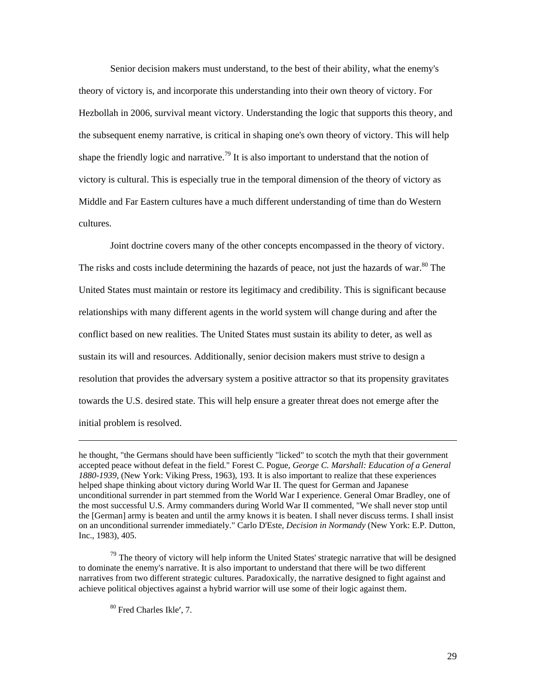Senior decision makers must understand, to the best of their ability, what the enemy's theory of victory is, and incorporate this understanding into their own theory of victory. For Hezbollah in 2006, survival meant victory. Understanding the logic that supports this theory, and the subsequent enemy narrative, is critical in shaping one's own theory of victory. This will help shape the friendly logic and narrative.<sup>79</sup> It is also important to understand that the notion of victory is cultural. This is especially true in the temporal dimension of the theory of victory as Middle and Far Eastern cultures have a much different understanding of time than do Western cultures.

 Joint doctrine covers many of the other concepts encompassed in the theory of victory. The risks and costs include determining the hazards of peace, not just the hazards of war.<sup>80</sup> The United States must maintain or restore its legitimacy and credibility. This is significant because relationships with many different agents in the world system will change during and after the conflict based on new realities. The United States must sustain its ability to deter, as well as sustain its will and resources. Additionally, senior decision makers must strive to design a resolution that provides the adversary system a positive attractor so that its propensity gravitates towards the U.S. desired state. This will help ensure a greater threat does not emerge after the initial problem is resolved.

he thought, "the Germans should have been sufficiently "licked" to scotch the myth that their government accepted peace without defeat in the field." Forest C. Pogue, *George C. Marshall: Education of a General 1880-1939,* (New York: Viking Press, 1963), 193. It is also important to realize that these experiences helped shape thinking about victory during World War II. The quest for German and Japanese unconditional surrender in part stemmed from the World War I experience. General Omar Bradley, one of the most successful U.S. Army commanders during World War II commented, "We shall never stop until the [German] army is beaten and until the army knows it is beaten. I shall never discuss terms. I shall insist on an unconditional surrender immediately." Carlo D'Este, *Decision in Normandy* (New York: E.P. Dutton, Inc., 1983), 405.

<sup>79</sup> The theory of victory will help inform the United States' strategic narrative that will be designed to dominate the enemy's narrative. It is also important to understand that there will be two different narratives from two different strategic cultures. Paradoxically, the narrative designed to fight against and achieve political objectives against a hybrid warrior will use some of their logic against them.

<sup>80</sup> Fred Charles Ikle *,* 7.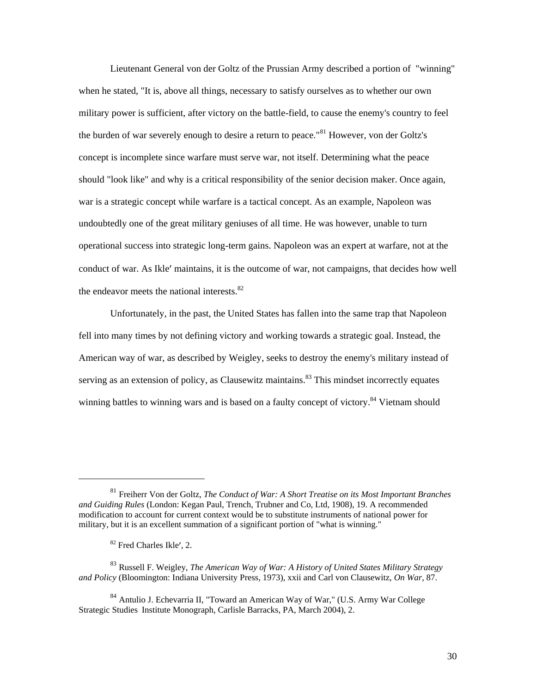Lieutenant General von der Goltz of the Prussian Army described a portion of "winning" when he stated, "It is, above all things, necessary to satisfy ourselves as to whether our own military power is sufficient, after victory on the battle-field, to cause the enemy's country to feel the burden of war severely enough to desire a return to peace."<sup>81</sup> However, von der Goltz's concept is incomplete since warfare must serve war, not itself. Determining what the peace should "look like" and why is a critical responsibility of the senior decision maker. Once again, war is a strategic concept while warfare is a tactical concept. As an example, Napoleon was undoubtedly one of the great military geniuses of all time. He was however, unable to turn operational success into strategic long-term gains. Napoleon was an expert at warfare, not at the conduct of war. As Ikle' maintains, it is the outcome of war, not campaigns, that decides how well the endeavor meets the national interests.<sup>82</sup>

 Unfortunately, in the past, the United States has fallen into the same trap that Napoleon fell into many times by not defining victory and working towards a strategic goal. Instead, the American way of war, as described by Weigley, seeks to destroy the enemy's military instead of serving as an extension of policy, as Clausewitz maintains. $83$  This mindset incorrectly equates winning battles to winning wars and is based on a faulty concept of victory. $84$  Vietnam should

<sup>81</sup> Freiherr Von der Goltz, *The Conduct of War: A Short Treatise on its Most Important Branches and Guiding Rules* (London: Kegan Paul, Trench, Trubner and Co, Ltd, 1908), 19. A recommended modification to account for current context would be to substitute instruments of national power for military, but it is an excellent summation of a significant portion of "what is winning."

<sup>82</sup> Fred Charles Ikle *,* 2.

<sup>83</sup> Russell F. Weigley, *The American Way of War: A History of United States Military Strategy and Policy* (Bloomington: Indiana University Press, 1973), xxii and Carl von Clausewitz, *On War*, 87.

<sup>84</sup> Antulio J. Echevarria II, "Toward an American Way of War," (U.S. Army War College Strategic Studies Institute Monograph, Carlisle Barracks, PA, March 2004), 2.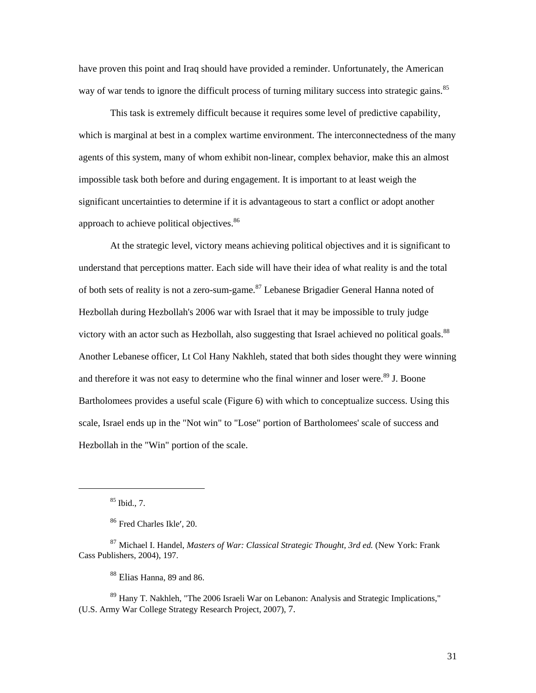have proven this point and Iraq should have provided a reminder. Unfortunately, the American way of war tends to ignore the difficult process of turning military success into strategic gains.<sup>85</sup>

 This task is extremely difficult because it requires some level of predictive capability, which is marginal at best in a complex wartime environment. The interconnectedness of the many agents of this system, many of whom exhibit non-linear, complex behavior, make this an almost impossible task both before and during engagement. It is important to at least weigh the significant uncertainties to determine if it is advantageous to start a conflict or adopt another approach to achieve political objectives.<sup>86</sup>

 At the strategic level, victory means achieving political objectives and it is significant to understand that perceptions matter. Each side will have their idea of what reality is and the total of both sets of reality is not a zero-sum-game.<sup>87</sup> Lebanese Brigadier General Hanna noted of Hezbollah during Hezbollah's 2006 war with Israel that it may be impossible to truly judge victory with an actor such as Hezbollah, also suggesting that Israel achieved no political goals.<sup>88</sup> Another Lebanese officer, Lt Col Hany Nakhleh, stated that both sides thought they were winning and therefore it was not easy to determine who the final winner and loser were.<sup>89</sup> J. Boone Bartholomees provides a useful scale (Figure 6) with which to conceptualize success. Using this scale, Israel ends up in the "Not win" to "Lose" portion of Bartholomees' scale of success and Hezbollah in the "Win" portion of the scale.

 $85$  Ibid., 7.

 $\overline{\phantom{a}}$ 

<sup>88</sup> Elias Hanna, 89 and 86.

<sup>89</sup> Hany T. Nakhleh, "The 2006 Israeli War on Lebanon: Analysis and Strategic Implications," (U.S. Army War College Strategy Research Project, 2007), 7.

<sup>&</sup>lt;sup>86</sup> Fred Charles Ikle', 20.

<sup>87</sup> Michael I. Handel, *Masters of War: Classical Strategic Thought, 3rd ed.* (New York: Frank Cass Publishers, 2004), 197.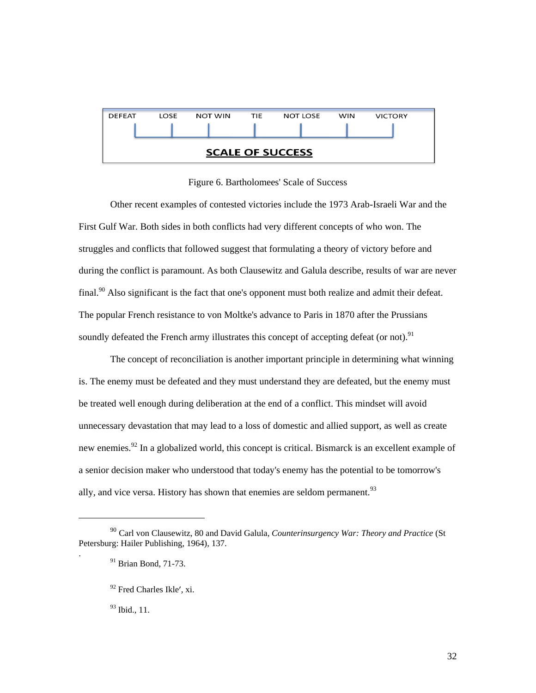| <b>DEFEAT</b>           | LOSE | NOT WIN | <b>TIF</b> | <b>NOT LOSE</b> | <b>WIN</b> | <b>VICTORY</b> |  |
|-------------------------|------|---------|------------|-----------------|------------|----------------|--|
| <b>SCALE OF SUCCESS</b> |      |         |            |                 |            |                |  |

#### Figure 6. Bartholomees' Scale of Success

 Other recent examples of contested victories include the 1973 Arab-Israeli War and the First Gulf War. Both sides in both conflicts had very different concepts of who won. The struggles and conflicts that followed suggest that formulating a theory of victory before and during the conflict is paramount. As both Clausewitz and Galula describe, results of war are never final.<sup>90</sup> Also significant is the fact that one's opponent must both realize and admit their defeat. The popular French resistance to von Moltke's advance to Paris in 1870 after the Prussians soundly defeated the French army illustrates this concept of accepting defeat (or not).<sup>91</sup>

 The concept of reconciliation is another important principle in determining what winning is. The enemy must be defeated and they must understand they are defeated, but the enemy must be treated well enough during deliberation at the end of a conflict. This mindset will avoid unnecessary devastation that may lead to a loss of domestic and allied support, as well as create new enemies.<sup>92</sup> In a globalized world, this concept is critical. Bismarck is an excellent example of a senior decision maker who understood that today's enemy has the potential to be tomorrow's ally, and vice versa. History has shown that enemies are seldom permanent.<sup>93</sup>

<sup>90</sup> Carl von Clausewitz, 80 and David Galula, *Counterinsurgency War: Theory and Practice* (St Petersburg: Hailer Publishing, 1964), 137. .

<sup>&</sup>lt;sup>91</sup> Brian Bond, 71-73.

<sup>&</sup>lt;sup>92</sup> Fred Charles Ikle', xi.

 $93$  Ibid., 11.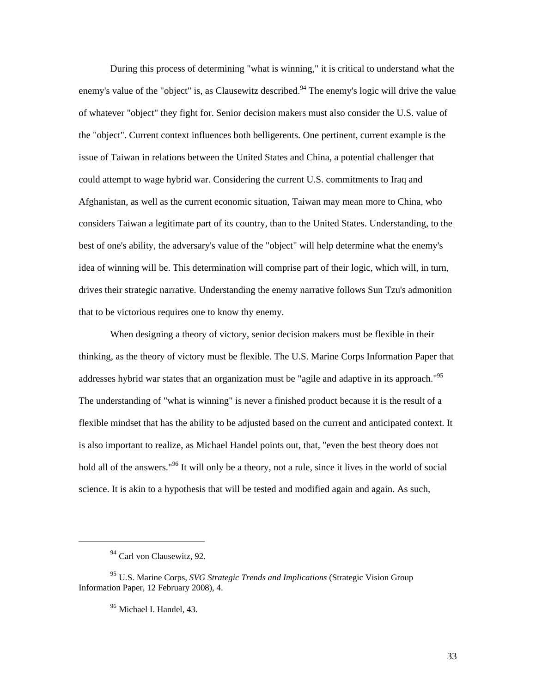During this process of determining "what is winning," it is critical to understand what the enemy's value of the "object" is, as Clausewitz described.<sup>94</sup> The enemy's logic will drive the value of whatever "object" they fight for. Senior decision makers must also consider the U.S. value of the "object". Current context influences both belligerents. One pertinent, current example is the issue of Taiwan in relations between the United States and China, a potential challenger that could attempt to wage hybrid war. Considering the current U.S. commitments to Iraq and Afghanistan, as well as the current economic situation, Taiwan may mean more to China, who considers Taiwan a legitimate part of its country, than to the United States. Understanding, to the best of one's ability, the adversary's value of the "object" will help determine what the enemy's idea of winning will be. This determination will comprise part of their logic, which will, in turn, drives their strategic narrative. Understanding the enemy narrative follows Sun Tzu's admonition that to be victorious requires one to know thy enemy.

 When designing a theory of victory, senior decision makers must be flexible in their thinking, as the theory of victory must be flexible. The U.S. Marine Corps Information Paper that addresses hybrid war states that an organization must be "agile and adaptive in its approach."<sup>95</sup> The understanding of "what is winning" is never a finished product because it is the result of a flexible mindset that has the ability to be adjusted based on the current and anticipated context. It is also important to realize, as Michael Handel points out, that, "even the best theory does not hold all of the answers."<sup>96</sup> It will only be a theory, not a rule, since it lives in the world of social science. It is akin to a hypothesis that will be tested and modified again and again. As such,

<sup>94</sup> Carl von Clausewitz*,* 92.

<sup>95</sup> U.S. Marine Corps, *SVG Strategic Trends and Implications* (Strategic Vision Group Information Paper, 12 February 2008), 4.

<sup>96</sup> Michael I. Handel, 43.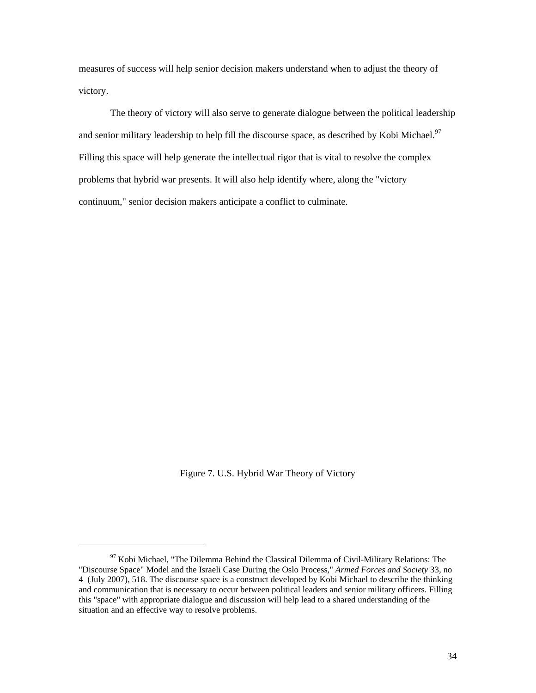measures of success will help senior decision makers understand when to adjust the theory of victory.

 The theory of victory will also serve to generate dialogue between the political leadership and senior military leadership to help fill the discourse space, as described by Kobi Michael.<sup>97</sup> Filling this space will help generate the intellectual rigor that is vital to resolve the complex problems that hybrid war presents. It will also help identify where, along the "victory continuum," senior decision makers anticipate a conflict to culminate.

Figure 7. U.S. Hybrid War Theory of Victory

 $97$  Kobi Michael, "The Dilemma Behind the Classical Dilemma of Civil-Military Relations: The "Discourse Space" Model and the Israeli Case During the Oslo Process," *Armed Forces and Society* 33*,* no 4(July 2007), 518. The discourse space is a construct developed by Kobi Michael to describe the thinking and communication that is necessary to occur between political leaders and senior military officers. Filling this "space" with appropriate dialogue and discussion will help lead to a shared understanding of the situation and an effective way to resolve problems.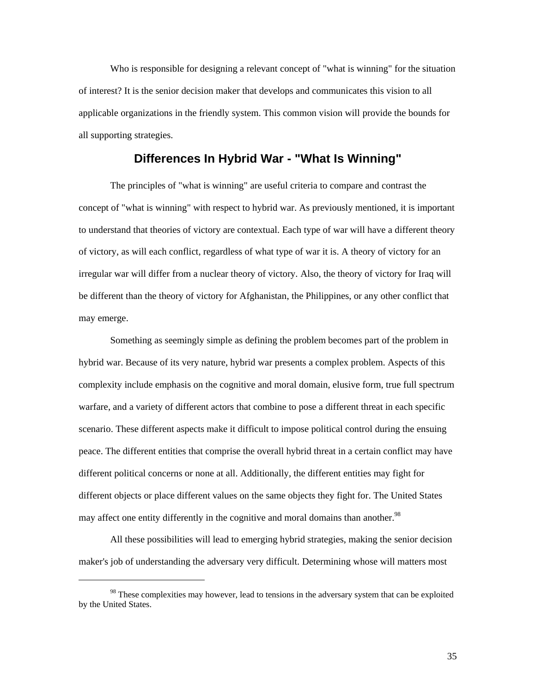Who is responsible for designing a relevant concept of "what is winning" for the situation of interest? It is the senior decision maker that develops and communicates this vision to all applicable organizations in the friendly system. This common vision will provide the bounds for all supporting strategies.

## **Differences In Hybrid War - "What Is Winning"**

 The principles of "what is winning" are useful criteria to compare and contrast the concept of "what is winning" with respect to hybrid war. As previously mentioned, it is important to understand that theories of victory are contextual. Each type of war will have a different theory of victory, as will each conflict, regardless of what type of war it is. A theory of victory for an irregular war will differ from a nuclear theory of victory. Also, the theory of victory for Iraq will be different than the theory of victory for Afghanistan, the Philippines, or any other conflict that may emerge.

 Something as seemingly simple as defining the problem becomes part of the problem in hybrid war. Because of its very nature, hybrid war presents a complex problem. Aspects of this complexity include emphasis on the cognitive and moral domain, elusive form, true full spectrum warfare, and a variety of different actors that combine to pose a different threat in each specific scenario. These different aspects make it difficult to impose political control during the ensuing peace. The different entities that comprise the overall hybrid threat in a certain conflict may have different political concerns or none at all. Additionally, the different entities may fight for different objects or place different values on the same objects they fight for. The United States may affect one entity differently in the cognitive and moral domains than another.<sup>98</sup>

 All these possibilities will lead to emerging hybrid strategies, making the senior decision maker's job of understanding the adversary very difficult. Determining whose will matters most

<sup>&</sup>lt;sup>98</sup> These complexities may however, lead to tensions in the adversary system that can be exploited by the United States.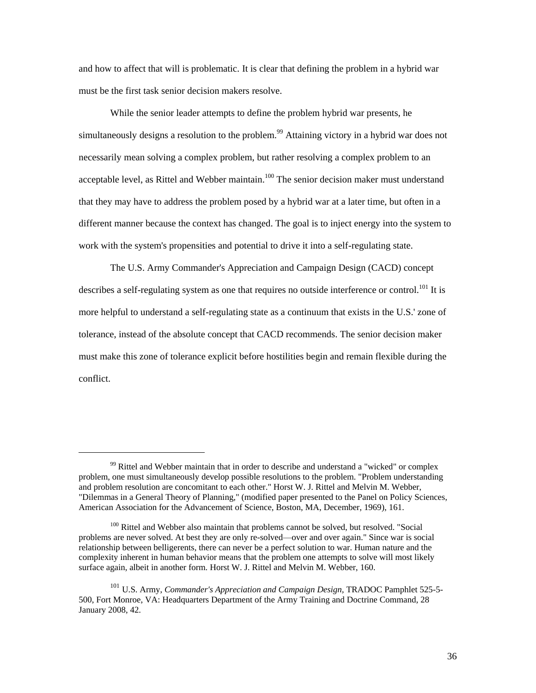and how to affect that will is problematic. It is clear that defining the problem in a hybrid war must be the first task senior decision makers resolve.

 While the senior leader attempts to define the problem hybrid war presents, he simultaneously designs a resolution to the problem.<sup>99</sup> Attaining victory in a hybrid war does not necessarily mean solving a complex problem, but rather resolving a complex problem to an acceptable level, as Rittel and Webber maintain.<sup>100</sup> The senior decision maker must understand that they may have to address the problem posed by a hybrid war at a later time, but often in a different manner because the context has changed. The goal is to inject energy into the system to work with the system's propensities and potential to drive it into a self-regulating state.

 The U.S. Army Commander's Appreciation and Campaign Design (CACD) concept describes a self-regulating system as one that requires no outside interference or control.<sup>101</sup> It is more helpful to understand a self-regulating state as a continuum that exists in the U.S.' zone of tolerance, instead of the absolute concept that CACD recommends. The senior decision maker must make this zone of tolerance explicit before hostilities begin and remain flexible during the conflict.

<sup>&</sup>lt;sup>99</sup> Rittel and Webber maintain that in order to describe and understand a "wicked" or complex problem, one must simultaneously develop possible resolutions to the problem. "Problem understanding and problem resolution are concomitant to each other." Horst W. J. Rittel and Melvin M. Webber, "Dilemmas in a General Theory of Planning," (modified paper presented to the Panel on Policy Sciences, American Association for the Advancement of Science, Boston, MA, December, 1969), 161.

<sup>&</sup>lt;sup>100</sup> Rittel and Webber also maintain that problems cannot be solved, but resolved. "Social problems are never solved. At best they are only re-solved—over and over again." Since war is social relationship between belligerents, there can never be a perfect solution to war. Human nature and the complexity inherent in human behavior means that the problem one attempts to solve will most likely surface again, albeit in another form. Horst W. J. Rittel and Melvin M. Webber, 160.

<sup>&</sup>lt;sup>101</sup> U.S. Army, *Commander's Appreciation and Campaign Design*, TRADOC Pamphlet 525-5-500, Fort Monroe, VA: Headquarters Department of the Army Training and Doctrine Command, 28 January 2008, 42.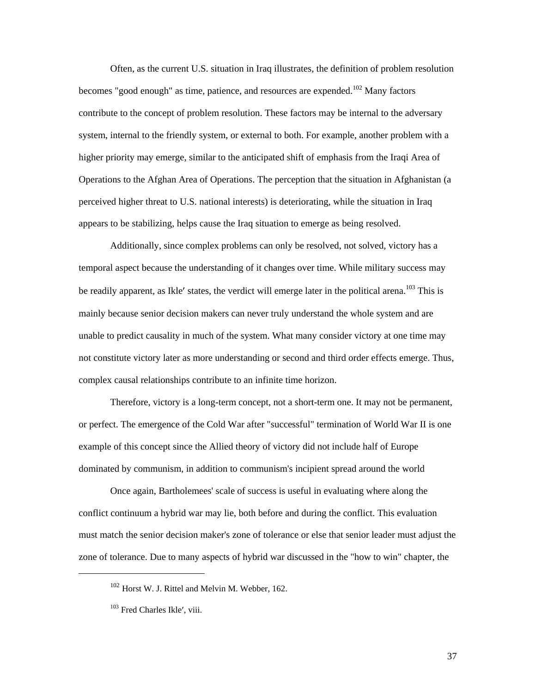Often, as the current U.S. situation in Iraq illustrates, the definition of problem resolution becomes "good enough" as time, patience, and resources are expended.<sup>102</sup> Many factors contribute to the concept of problem resolution. These factors may be internal to the adversary system, internal to the friendly system, or external to both. For example, another problem with a higher priority may emerge, similar to the anticipated shift of emphasis from the Iraqi Area of Operations to the Afghan Area of Operations. The perception that the situation in Afghanistan (a perceived higher threat to U.S. national interests) is deteriorating, while the situation in Iraq appears to be stabilizing, helps cause the Iraq situation to emerge as being resolved.

 Additionally, since complex problems can only be resolved, not solved, victory has a temporal aspect because the understanding of it changes over time. While military success may be readily apparent, as Ikle' states, the verdict will emerge later in the political arena.<sup>103</sup> This is mainly because senior decision makers can never truly understand the whole system and are unable to predict causality in much of the system. What many consider victory at one time may not constitute victory later as more understanding or second and third order effects emerge. Thus, complex causal relationships contribute to an infinite time horizon.

 Therefore, victory is a long-term concept, not a short-term one. It may not be permanent, or perfect. The emergence of the Cold War after "successful" termination of World War II is one example of this concept since the Allied theory of victory did not include half of Europe dominated by communism, in addition to communism's incipient spread around the world

 Once again, Bartholemees' scale of success is useful in evaluating where along the conflict continuum a hybrid war may lie, both before and during the conflict. This evaluation must match the senior decision maker's zone of tolerance or else that senior leader must adjust the zone of tolerance. Due to many aspects of hybrid war discussed in the "how to win" chapter, the

<sup>&</sup>lt;sup>102</sup> Horst W. J. Rittel and Melvin M. Webber, 162.

 $103$  Fred Charles Ikle', viii.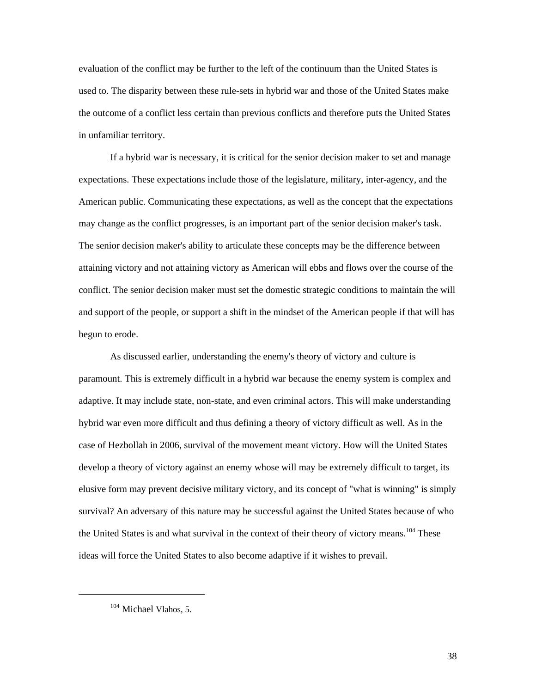evaluation of the conflict may be further to the left of the continuum than the United States is used to. The disparity between these rule-sets in hybrid war and those of the United States make the outcome of a conflict less certain than previous conflicts and therefore puts the United States in unfamiliar territory.

If a hybrid war is necessary, it is critical for the senior decision maker to set and manage expectations. These expectations include those of the legislature, military, inter-agency, and the American public. Communicating these expectations, as well as the concept that the expectations may change as the conflict progresses, is an important part of the senior decision maker's task. The senior decision maker's ability to articulate these concepts may be the difference between attaining victory and not attaining victory as American will ebbs and flows over the course of the conflict. The senior decision maker must set the domestic strategic conditions to maintain the will and support of the people, or support a shift in the mindset of the American people if that will has begun to erode.

 As discussed earlier, understanding the enemy's theory of victory and culture is paramount. This is extremely difficult in a hybrid war because the enemy system is complex and adaptive. It may include state, non-state, and even criminal actors. This will make understanding hybrid war even more difficult and thus defining a theory of victory difficult as well. As in the case of Hezbollah in 2006, survival of the movement meant victory. How will the United States develop a theory of victory against an enemy whose will may be extremely difficult to target, its elusive form may prevent decisive military victory, and its concept of "what is winning" is simply survival? An adversary of this nature may be successful against the United States because of who the United States is and what survival in the context of their theory of victory means.<sup>104</sup> These ideas will force the United States to also become adaptive if it wishes to prevail.

<sup>104</sup> Michael Vlahos, 5.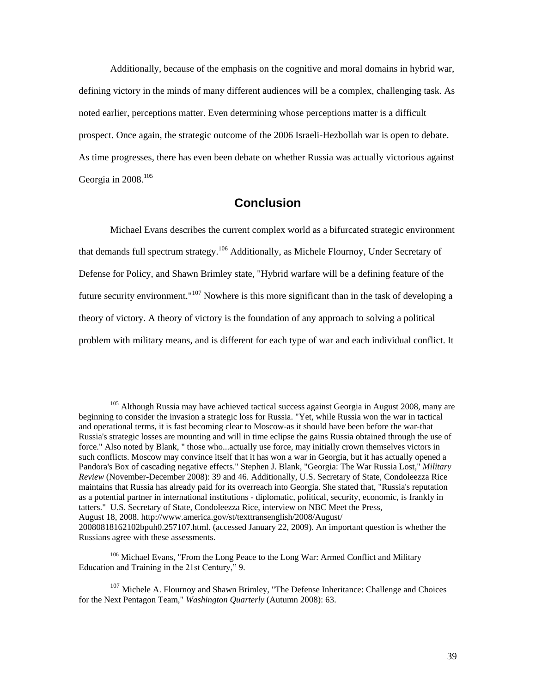Additionally, because of the emphasis on the cognitive and moral domains in hybrid war, defining victory in the minds of many different audiences will be a complex, challenging task. As noted earlier, perceptions matter. Even determining whose perceptions matter is a difficult prospect. Once again, the strategic outcome of the 2006 Israeli-Hezbollah war is open to debate. As time progresses, there has even been debate on whether Russia was actually victorious against Georgia in 2008.<sup>105</sup>

## **Conclusion**

 Michael Evans describes the current complex world as a bifurcated strategic environment that demands full spectrum strategy.<sup>106</sup> Additionally, as Michele Flournoy, Under Secretary of Defense for Policy, and Shawn Brimley state, "Hybrid warfare will be a defining feature of the future security environment."<sup>107</sup> Nowhere is this more significant than in the task of developing a theory of victory. A theory of victory is the foundation of any approach to solving a political problem with military means, and is different for each type of war and each individual conflict. It

<sup>&</sup>lt;sup>105</sup> Although Russia may have achieved tactical success against Georgia in August 2008, many are beginning to consider the invasion a strategic loss for Russia. "Yet, while Russia won the war in tactical and operational terms, it is fast becoming clear to Moscow-as it should have been before the war-that Russia's strategic losses are mounting and will in time eclipse the gains Russia obtained through the use of force." Also noted by Blank, " those who...actually use force, may initially crown themselves victors in such conflicts. Moscow may convince itself that it has won a war in Georgia, but it has actually opened a Pandora's Box of cascading negative effects." Stephen J. Blank, "Georgia: The War Russia Lost," *Military Review* (November-December 2008): 39 and 46. Additionally, U.S. Secretary of State, Condoleezza Rice maintains that Russia has already paid for its overreach into Georgia. She stated that, "Russia's reputation as a potential partner in international institutions - diplomatic, political, security, economic, is frankly in tatters." U.S. Secretary of State, Condoleezza Rice, interview on NBC Meet the Press, August 18, 2008. http://www.america.gov/st/texttransenglish/2008/August/

<sup>20080818162102</sup>bpuh0.257107.html. (accessed January 22, 2009). An important question is whether the Russians agree with these assessments.

<sup>&</sup>lt;sup>106</sup> Michael Evans, "From the Long Peace to the Long War: Armed Conflict and Military Education and Training in the 21st Century," 9.

<sup>&</sup>lt;sup>107</sup> Michele A. Flournoy and Shawn Brimley, "The Defense Inheritance: Challenge and Choices for the Next Pentagon Team," *Washington Quarterly* (Autumn 2008): 63.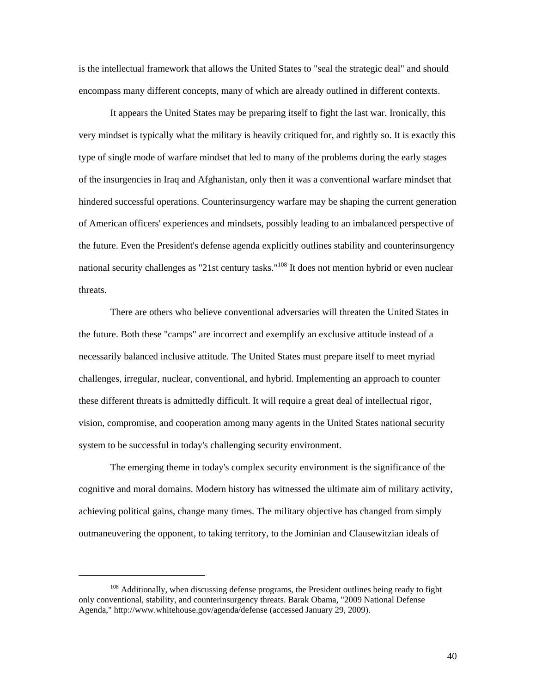is the intellectual framework that allows the United States to "seal the strategic deal" and should encompass many different concepts, many of which are already outlined in different contexts.

 It appears the United States may be preparing itself to fight the last war. Ironically, this very mindset is typically what the military is heavily critiqued for, and rightly so. It is exactly this type of single mode of warfare mindset that led to many of the problems during the early stages of the insurgencies in Iraq and Afghanistan, only then it was a conventional warfare mindset that hindered successful operations. Counterinsurgency warfare may be shaping the current generation of American officers' experiences and mindsets, possibly leading to an imbalanced perspective of the future. Even the President's defense agenda explicitly outlines stability and counterinsurgency national security challenges as "21st century tasks."<sup>108</sup> It does not mention hybrid or even nuclear threats.

 There are others who believe conventional adversaries will threaten the United States in the future. Both these "camps" are incorrect and exemplify an exclusive attitude instead of a necessarily balanced inclusive attitude. The United States must prepare itself to meet myriad challenges, irregular, nuclear, conventional, and hybrid. Implementing an approach to counter these different threats is admittedly difficult. It will require a great deal of intellectual rigor, vision, compromise, and cooperation among many agents in the United States national security system to be successful in today's challenging security environment.

 The emerging theme in today's complex security environment is the significance of the cognitive and moral domains. Modern history has witnessed the ultimate aim of military activity, achieving political gains, change many times. The military objective has changed from simply outmaneuvering the opponent, to taking territory, to the Jominian and Clausewitzian ideals of

<sup>&</sup>lt;sup>108</sup> Additionally, when discussing defense programs, the President outlines being ready to fight only conventional, stability, and counterinsurgency threats. Barak Obama, "2009 National Defense Agenda," http://www.whitehouse.gov/agenda/defense (accessed January 29, 2009).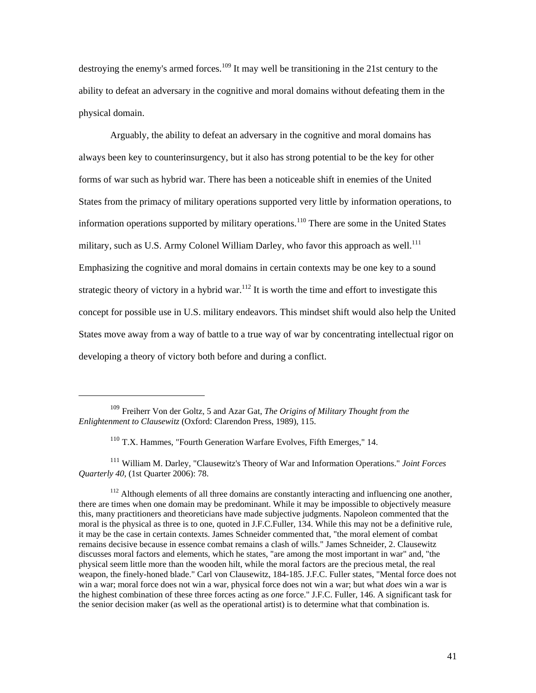destroying the enemy's armed forces.<sup>109</sup> It may well be transitioning in the 21st century to the ability to defeat an adversary in the cognitive and moral domains without defeating them in the physical domain.

 Arguably, the ability to defeat an adversary in the cognitive and moral domains has always been key to counterinsurgency, but it also has strong potential to be the key for other forms of war such as hybrid war. There has been a noticeable shift in enemies of the United States from the primacy of military operations supported very little by information operations, to information operations supported by military operations.<sup>110</sup> There are some in the United States military, such as U.S. Army Colonel William Darley, who favor this approach as well.<sup>111</sup> Emphasizing the cognitive and moral domains in certain contexts may be one key to a sound strategic theory of victory in a hybrid war.<sup>112</sup> It is worth the time and effort to investigate this concept for possible use in U.S. military endeavors. This mindset shift would also help the United States move away from a way of battle to a true way of war by concentrating intellectual rigor on developing a theory of victory both before and during a conflict.

l

<sup>109</sup> Freiherr Von der Goltz*,* 5 and Azar Gat, *The Origins of Military Thought from the Enlightenment to Clausewitz* (Oxford: Clarendon Press, 1989), 115.

<sup>&</sup>lt;sup>110</sup> T.X. Hammes, "Fourth Generation Warfare Evolves, Fifth Emerges," 14.

<sup>111</sup> William M. Darley, "Clausewitz's Theory of War and Information Operations." *Joint Forces Quarterly 40,* (1st Quarter 2006): 78.

<sup>&</sup>lt;sup>112</sup> Although elements of all three domains are constantly interacting and influencing one another, there are times when one domain may be predominant. While it may be impossible to objectively measure this, many practitioners and theoreticians have made subjective judgments. Napoleon commented that the moral is the physical as three is to one, quoted in J.F.C.Fuller*,* 134. While this may not be a definitive rule, it may be the case in certain contexts. James Schneider commented that, "the moral element of combat remains decisive because in essence combat remains a clash of wills." James Schneider, 2. Clausewitz discusses moral factors and elements, which he states, "are among the most important in war" and, "the physical seem little more than the wooden hilt, while the moral factors are the precious metal, the real weapon, the finely-honed blade." Carl von Clausewitz, 184-185. J.F.C. Fuller states, "Mental force does not win a war; moral force does not win a war, physical force does not win a war; but what *does* win a war is the highest combination of these three forces acting as *one* force." J.F.C. Fuller, 146. A significant task for the senior decision maker (as well as the operational artist) is to determine what that combination is.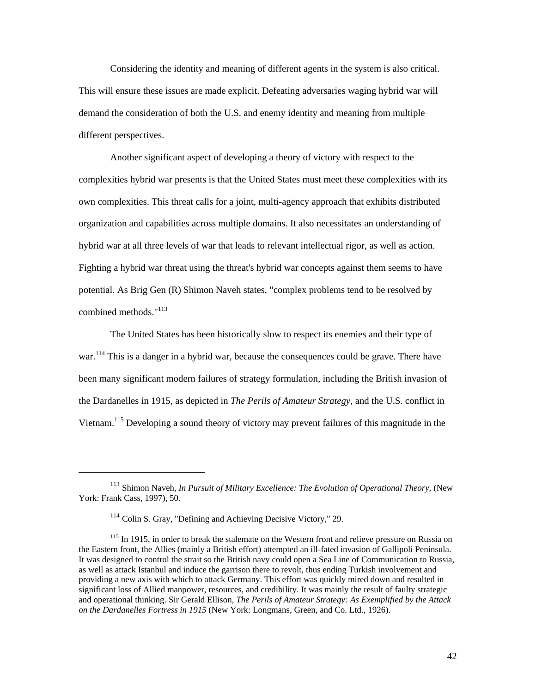Considering the identity and meaning of different agents in the system is also critical. This will ensure these issues are made explicit. Defeating adversaries waging hybrid war will demand the consideration of both the U.S. and enemy identity and meaning from multiple different perspectives.

 Another significant aspect of developing a theory of victory with respect to the complexities hybrid war presents is that the United States must meet these complexities with its own complexities. This threat calls for a joint, multi-agency approach that exhibits distributed organization and capabilities across multiple domains. It also necessitates an understanding of hybrid war at all three levels of war that leads to relevant intellectual rigor, as well as action. Fighting a hybrid war threat using the threat's hybrid war concepts against them seems to have potential. As Brig Gen (R) Shimon Naveh states, "complex problems tend to be resolved by combined methods."<sup>113</sup>

 The United States has been historically slow to respect its enemies and their type of war.<sup>114</sup> This is a danger in a hybrid war, because the consequences could be grave. There have been many significant modern failures of strategy formulation, including the British invasion of the Dardanelles in 1915, as depicted in *The Perils of Amateur Strategy*, and the U.S. conflict in Vietnam.<sup>115</sup> Developing a sound theory of victory may prevent failures of this magnitude in the

<sup>&</sup>lt;sup>113</sup> Shimon Naveh, *In Pursuit of Military Excellence: The Evolution of Operational Theory*, (New York: Frank Cass, 1997), 50.

<sup>114</sup> Colin S. Gray, "Defining and Achieving Decisive Victory," 29.

<sup>&</sup>lt;sup>115</sup> In 1915, in order to break the stalemate on the Western front and relieve pressure on Russia on the Eastern front, the Allies (mainly a British effort) attempted an ill-fated invasion of Gallipoli Peninsula. It was designed to control the strait so the British navy could open a Sea Line of Communication to Russia, as well as attack Istanbul and induce the garrison there to revolt, thus ending Turkish involvement and providing a new axis with which to attack Germany. This effort was quickly mired down and resulted in significant loss of Allied manpower, resources, and credibility. It was mainly the result of faulty strategic and operational thinking. Sir Gerald Ellison, *The Perils of Amateur Strategy: As Exemplified by the Attack on the Dardanelles Fortress in 1915* (New York: Longmans, Green, and Co. Ltd., 1926).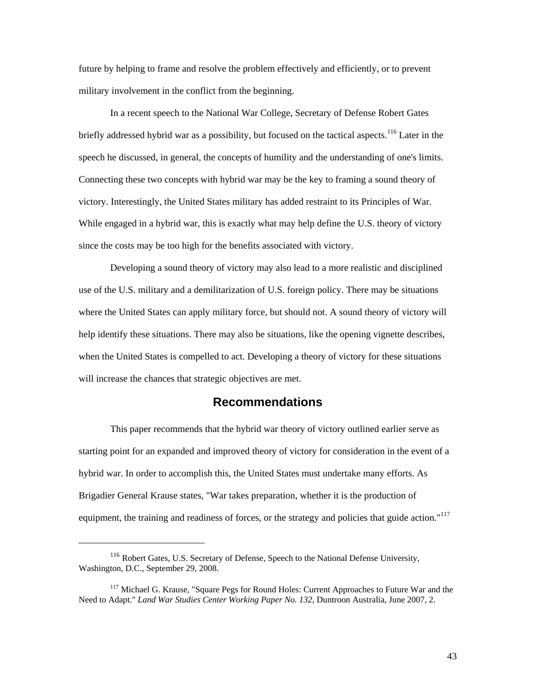future by helping to frame and resolve the problem effectively and efficiently, or to prevent military involvement in the conflict from the beginning.

 In a recent speech to the National War College, Secretary of Defense Robert Gates briefly addressed hybrid war as a possibility, but focused on the tactical aspects.<sup>116</sup> Later in the speech he discussed, in general, the concepts of humility and the understanding of one's limits. Connecting these two concepts with hybrid war may be the key to framing a sound theory of victory. Interestingly, the United States military has added restraint to its Principles of War. While engaged in a hybrid war, this is exactly what may help define the U.S. theory of victory since the costs may be too high for the benefits associated with victory.

 Developing a sound theory of victory may also lead to a more realistic and disciplined use of the U.S. military and a demilitarization of U.S. foreign policy. There may be situations where the United States can apply military force, but should not. A sound theory of victory will help identify these situations. There may also be situations, like the opening vignette describes, when the United States is compelled to act. Developing a theory of victory for these situations will increase the chances that strategic objectives are met.

#### **Recommendations**

 This paper recommends that the hybrid war theory of victory outlined earlier serve as starting point for an expanded and improved theory of victory for consideration in the event of a hybrid war. In order to accomplish this, the United States must undertake many efforts. As Brigadier General Krause states, "War takes preparation, whether it is the production of equipment, the training and readiness of forces, or the strategy and policies that guide action."<sup>117</sup>

<sup>&</sup>lt;sup>116</sup> Robert Gates, U.S. Secretary of Defense, Speech to the National Defense University, Washington, D.C., September 29, 2008.

<sup>&</sup>lt;sup>117</sup> Michael G. Krause, "Square Pegs for Round Holes: Current Approaches to Future War and the Need to Adapt." *Land War Studies Center Working Paper No. 132,* Duntroon Australia, June 2007, 2.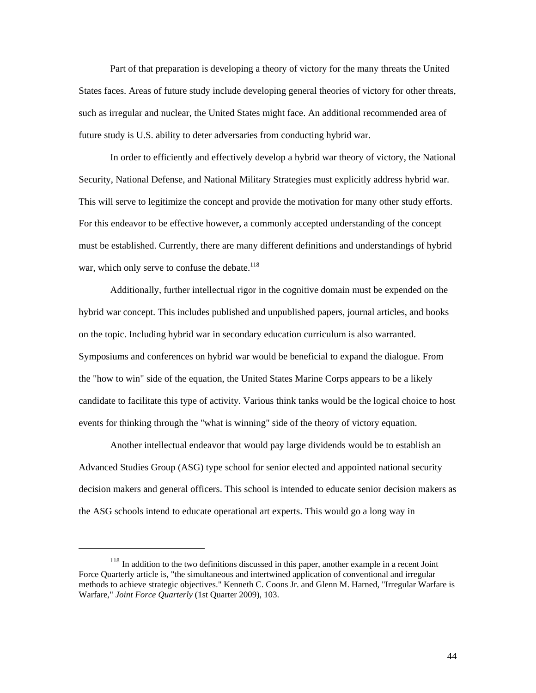Part of that preparation is developing a theory of victory for the many threats the United States faces. Areas of future study include developing general theories of victory for other threats, such as irregular and nuclear, the United States might face. An additional recommended area of future study is U.S. ability to deter adversaries from conducting hybrid war.

 In order to efficiently and effectively develop a hybrid war theory of victory, the National Security, National Defense, and National Military Strategies must explicitly address hybrid war. This will serve to legitimize the concept and provide the motivation for many other study efforts. For this endeavor to be effective however, a commonly accepted understanding of the concept must be established. Currently, there are many different definitions and understandings of hybrid war, which only serve to confuse the debate.<sup>118</sup>

 Additionally, further intellectual rigor in the cognitive domain must be expended on the hybrid war concept. This includes published and unpublished papers, journal articles, and books on the topic. Including hybrid war in secondary education curriculum is also warranted. Symposiums and conferences on hybrid war would be beneficial to expand the dialogue. From the "how to win" side of the equation, the United States Marine Corps appears to be a likely candidate to facilitate this type of activity. Various think tanks would be the logical choice to host events for thinking through the "what is winning" side of the theory of victory equation.

 Another intellectual endeavor that would pay large dividends would be to establish an Advanced Studies Group (ASG) type school for senior elected and appointed national security decision makers and general officers. This school is intended to educate senior decision makers as the ASG schools intend to educate operational art experts. This would go a long way in

<sup>&</sup>lt;sup>118</sup> In addition to the two definitions discussed in this paper, another example in a recent Joint Force Quarterly article is, "the simultaneous and intertwined application of conventional and irregular methods to achieve strategic objectives." Kenneth C. Coons Jr. and Glenn M. Harned, "Irregular Warfare is Warfare," *Joint Force Quarterly* (1st Quarter 2009), 103.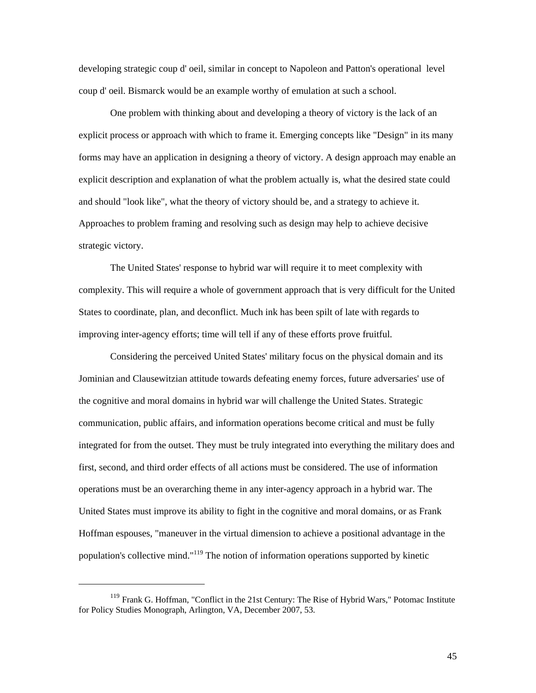developing strategic coup d' oeil, similar in concept to Napoleon and Patton's operational level coup d' oeil. Bismarck would be an example worthy of emulation at such a school.

 One problem with thinking about and developing a theory of victory is the lack of an explicit process or approach with which to frame it. Emerging concepts like "Design" in its many forms may have an application in designing a theory of victory. A design approach may enable an explicit description and explanation of what the problem actually is, what the desired state could and should "look like", what the theory of victory should be, and a strategy to achieve it. Approaches to problem framing and resolving such as design may help to achieve decisive strategic victory.

 The United States' response to hybrid war will require it to meet complexity with complexity. This will require a whole of government approach that is very difficult for the United States to coordinate, plan, and deconflict. Much ink has been spilt of late with regards to improving inter-agency efforts; time will tell if any of these efforts prove fruitful.

 Considering the perceived United States' military focus on the physical domain and its Jominian and Clausewitzian attitude towards defeating enemy forces, future adversaries' use of the cognitive and moral domains in hybrid war will challenge the United States. Strategic communication, public affairs, and information operations become critical and must be fully integrated for from the outset. They must be truly integrated into everything the military does and first, second, and third order effects of all actions must be considered. The use of information operations must be an overarching theme in any inter-agency approach in a hybrid war. The United States must improve its ability to fight in the cognitive and moral domains, or as Frank Hoffman espouses, "maneuver in the virtual dimension to achieve a positional advantage in the population's collective mind."<sup>119</sup> The notion of information operations supported by kinetic

 $\overline{\phantom{a}}$ 

45

<sup>&</sup>lt;sup>119</sup> Frank G. Hoffman, "Conflict in the 21st Century: The Rise of Hybrid Wars," Potomac Institute for Policy Studies Monograph, Arlington, VA, December 2007, 53.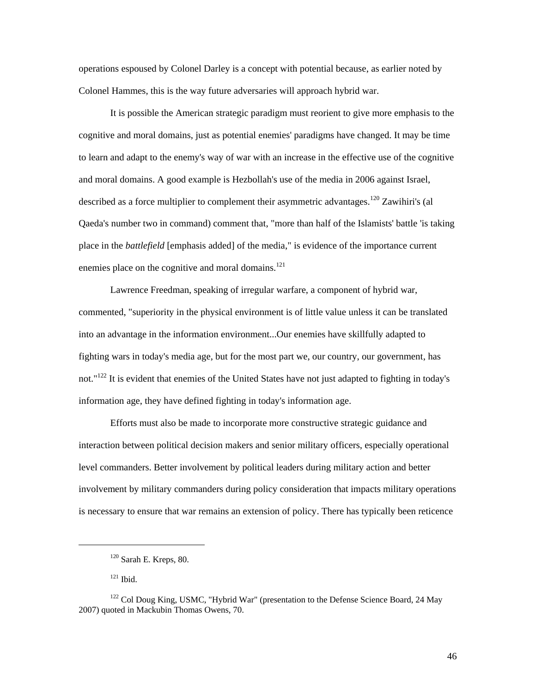operations espoused by Colonel Darley is a concept with potential because, as earlier noted by Colonel Hammes, this is the way future adversaries will approach hybrid war.

 It is possible the American strategic paradigm must reorient to give more emphasis to the cognitive and moral domains, just as potential enemies' paradigms have changed. It may be time to learn and adapt to the enemy's way of war with an increase in the effective use of the cognitive and moral domains. A good example is Hezbollah's use of the media in 2006 against Israel, described as a force multiplier to complement their asymmetric advantages.<sup>120</sup> Zawihiri's (al Qaeda's number two in command) comment that, "more than half of the Islamists' battle 'is taking place in the *battlefield* [emphasis added] of the media," is evidence of the importance current enemies place on the cognitive and moral domains.<sup>121</sup>

 Lawrence Freedman, speaking of irregular warfare, a component of hybrid war, commented, "superiority in the physical environment is of little value unless it can be translated into an advantage in the information environment...Our enemies have skillfully adapted to fighting wars in today's media age, but for the most part we, our country, our government, has not." $122$  It is evident that enemies of the United States have not just adapted to fighting in today's information age, they have defined fighting in today's information age.

 Efforts must also be made to incorporate more constructive strategic guidance and interaction between political decision makers and senior military officers, especially operational level commanders. Better involvement by political leaders during military action and better involvement by military commanders during policy consideration that impacts military operations is necessary to ensure that war remains an extension of policy. There has typically been reticence

 $121$  Ibid.

<sup>120</sup> Sarah E. Kreps, 80.

 $122$  Col Doug King, USMC, "Hybrid War" (presentation to the Defense Science Board, 24 May 2007) quoted in Mackubin Thomas Owens, 70.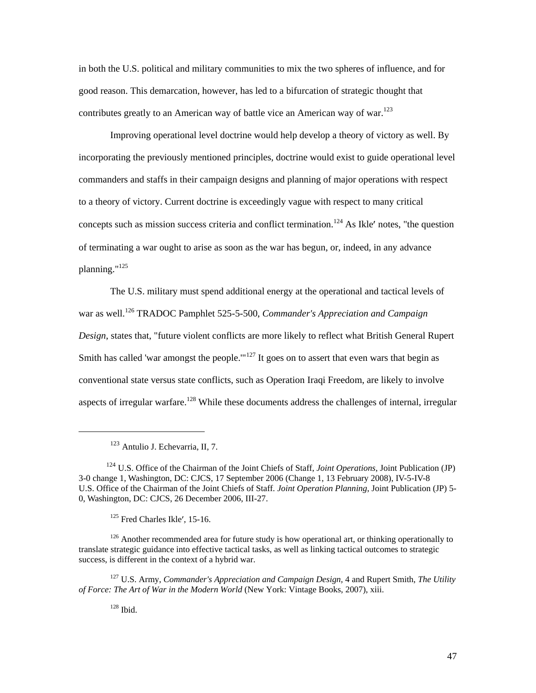in both the U.S. political and military communities to mix the two spheres of influence, and for good reason. This demarcation, however, has led to a bifurcation of strategic thought that contributes greatly to an American way of battle vice an American way of war.<sup>123</sup>

 Improving operational level doctrine would help develop a theory of victory as well. By incorporating the previously mentioned principles, doctrine would exist to guide operational level commanders and staffs in their campaign designs and planning of major operations with respect to a theory of victory. Current doctrine is exceedingly vague with respect to many critical concepts such as mission success criteria and conflict termination.<sup>124</sup> As Ikle' notes, "the question of terminating a war ought to arise as soon as the war has begun, or, indeed, in any advance planning."<sup>125</sup>

 The U.S. military must spend additional energy at the operational and tactical levels of war as well.<sup>126</sup> TRADOC Pamphlet 525-5-500, *Commander's Appreciation and Campaign Design*, states that, "future violent conflicts are more likely to reflect what British General Rupert Smith has called 'war amongst the people."<sup>127</sup> It goes on to assert that even wars that begin as conventional state versus state conflicts, such as Operation Iraqi Freedom, are likely to involve aspects of irregular warfare.<sup>128</sup> While these documents address the challenges of internal, irregular

<sup>123</sup> Antulio J. Echevarria, II, 7.

<sup>124</sup> U.S. Office of the Chairman of the Joint Chiefs of Staff, *Joint Operations*, Joint Publication (JP) 3-0 change 1, Washington, DC: CJCS, 17 September 2006 (Change 1, 13 February 2008), IV-5-IV-8 U.S. Office of the Chairman of the Joint Chiefs of Staff. *Joint Operation Planning*, Joint Publication (JP) 5- 0, Washington, DC: CJCS, 26 December 2006, III-27.

<sup>&</sup>lt;sup>125</sup> Fred Charles Ikle', 15-16.

 $126$  Another recommended area for future study is how operational art, or thinking operationally to translate strategic guidance into effective tactical tasks, as well as linking tactical outcomes to strategic success, is different in the context of a hybrid war.

<sup>127</sup> U.S. Army, *Commander's Appreciation and Campaign Design,* 4 and Rupert Smith, *The Utility of Force: The Art of War in the Modern World* (New York: Vintage Books, 2007), xiii.

<sup>128</sup> Ibid.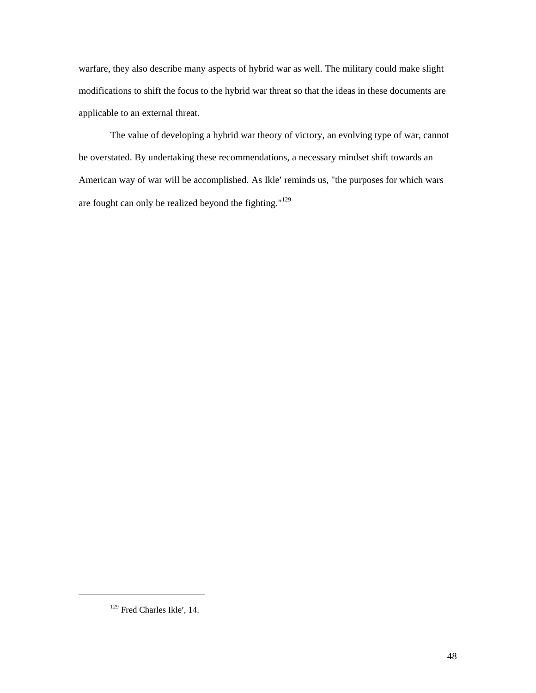warfare, they also describe many aspects of hybrid war as well. The military could make slight modifications to shift the focus to the hybrid war threat so that the ideas in these documents are applicable to an external threat.

 The value of developing a hybrid war theory of victory, an evolving type of war, cannot be overstated. By undertaking these recommendations, a necessary mindset shift towards an American way of war will be accomplished. As Ikle' reminds us, "the purposes for which wars are fought can only be realized beyond the fighting."<sup>129</sup>

<sup>&</sup>lt;sup>129</sup> Fred Charles Ikle', 14.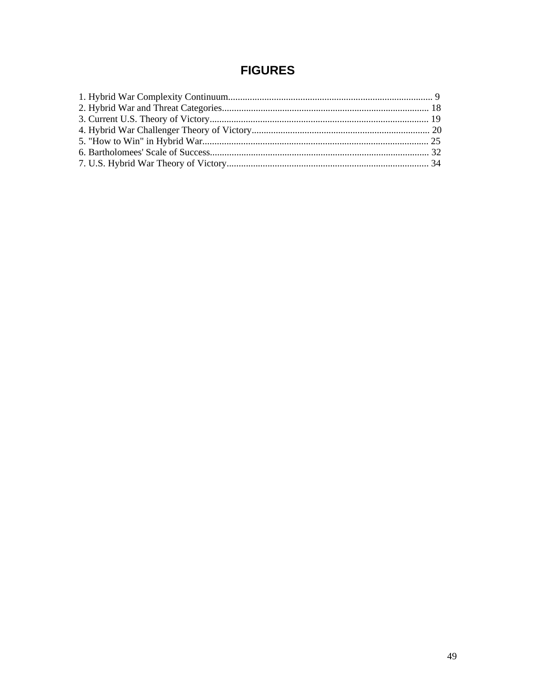## **FIGURES**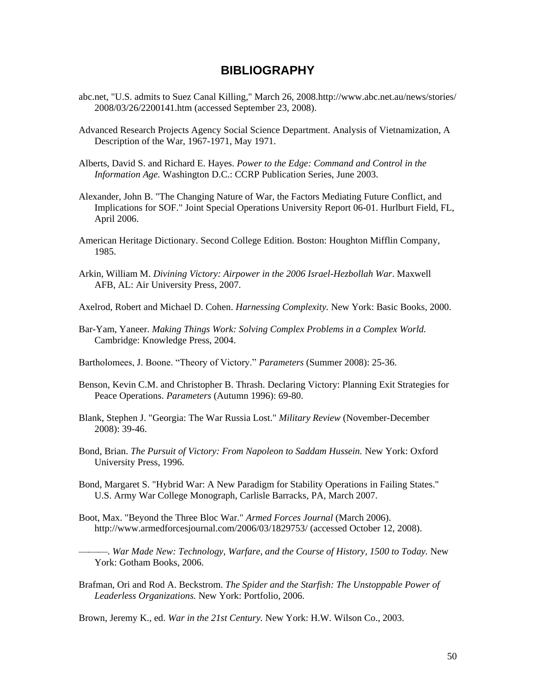## **BIBLIOGRAPHY**

- abc.net, "U.S. admits to Suez Canal Killing," March 26, 2008.http://www.abc.net.au/news/stories/ 2008/03/26/2200141.htm (accessed September 23, 2008).
- Advanced Research Projects Agency Social Science Department. Analysis of Vietnamization, A Description of the War, 1967-1971, May 1971.
- Alberts, David S. and Richard E. Hayes. *Power to the Edge: Command and Control in the Information Age.* Washington D.C.: CCRP Publication Series, June 2003.
- Alexander, John B. "The Changing Nature of War, the Factors Mediating Future Conflict, and Implications for SOF." Joint Special Operations University Report 06-01. Hurlburt Field, FL, April 2006.
- American Heritage Dictionary. Second College Edition. Boston: Houghton Mifflin Company, 1985.
- Arkin, William M. *Divining Victory: Airpower in the 2006 Israel-Hezbollah War*. Maxwell AFB, AL: Air University Press, 2007.
- Axelrod, Robert and Michael D. Cohen. *Harnessing Complexity.* New York: Basic Books, 2000.
- Bar-Yam, Yaneer. *Making Things Work: Solving Complex Problems in a Complex World.*  Cambridge: Knowledge Press, 2004.
- Bartholomees, J. Boone. "Theory of Victory." *Parameters* (Summer 2008): 25-36.
- Benson, Kevin C.M. and Christopher B. Thrash. Declaring Victory: Planning Exit Strategies for Peace Operations. *Parameters* (Autumn 1996): 69-80.
- Blank, Stephen J. "Georgia: The War Russia Lost." *Military Review* (November-December 2008): 39-46.
- Bond, Brian. *The Pursuit of Victory: From Napoleon to Saddam Hussein.* New York: Oxford University Press, 1996.
- Bond, Margaret S. "Hybrid War: A New Paradigm for Stability Operations in Failing States." U.S. Army War College Monograph, Carlisle Barracks, PA, March 2007.
- Boot, Max. "Beyond the Three Bloc War." *Armed Forces Journal* (March 2006). http://www.armedforcesjournal.com/2006/03/1829753/ (accessed October 12, 2008).
- . *War Made New: Technology, Warfare, and the Course of History, 1500 to Today.* New York: Gotham Books, 2006.
- Brafman, Ori and Rod A. Beckstrom. *The Spider and the Starfish: The Unstoppable Power of Leaderless Organizations.* New York: Portfolio, 2006.

Brown, Jeremy K., ed. *War in the 21st Century.* New York: H.W. Wilson Co., 2003.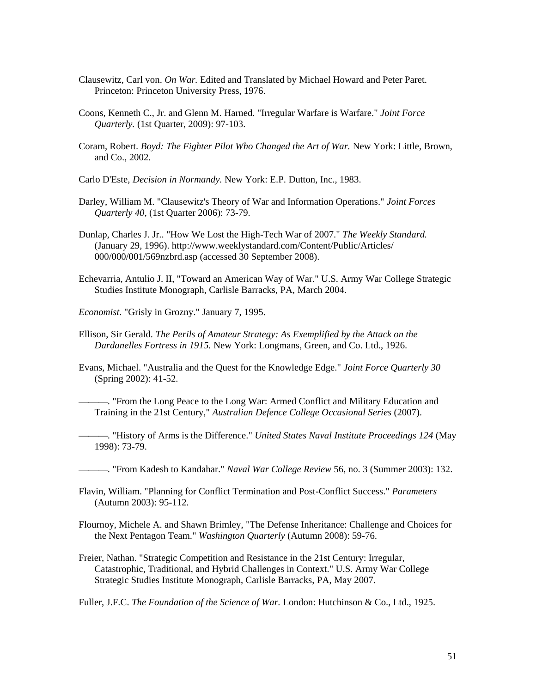- Clausewitz, Carl von. *On War.* Edited and Translated by Michael Howard and Peter Paret. Princeton: Princeton University Press, 1976.
- Coons, Kenneth C., Jr. and Glenn M. Harned. "Irregular Warfare is Warfare." *Joint Force Quarterly.* (1st Quarter, 2009): 97-103.
- Coram, Robert. *Boyd: The Fighter Pilot Who Changed the Art of War*. New York: Little, Brown, and Co., 2002.
- Carlo D'Este, *Decision in Normandy.* New York: E.P. Dutton, Inc., 1983.
- Darley, William M. "Clausewitz's Theory of War and Information Operations." *Joint Forces Quarterly 40,* (1st Quarter 2006): 73-79.
- Dunlap, Charles J. Jr.. "How We Lost the High-Tech War of 2007." *The Weekly Standard.*  (January 29, 1996). http://www.weeklystandard.com/Content/Public/Articles/ 000/000/001/569nzbrd.asp (accessed 30 September 2008).
- Echevarria, Antulio J. II, "Toward an American Way of War." U.S. Army War College Strategic Studies Institute Monograph, Carlisle Barracks, PA, March 2004.
- *Economist*. "Grisly in Grozny." January 7, 1995.
- Ellison, Sir Gerald. *The Perils of Amateur Strategy: As Exemplified by the Attack on the Dardanelles Fortress in 1915.* New York: Longmans, Green, and Co. Ltd., 1926.
- Evans, Michael. "Australia and the Quest for the Knowledge Edge." *Joint Force Quarterly 30* (Spring 2002): 41-52.
	- . "From the Long Peace to the Long War: Armed Conflict and Military Education and Training in the 21st Century," *Australian Defence College Occasional Series* (2007).
- . "History of Arms is the Difference." *United States Naval Institute Proceedings 124* (May 1998): 73-79.
- . "From Kadesh to Kandahar." *Naval War College Review* 56, no. 3 (Summer 2003): 132.
- Flavin, William. "Planning for Conflict Termination and Post-Conflict Success." *Parameters*  (Autumn 2003): 95-112.
- Flournoy, Michele A. and Shawn Brimley, "The Defense Inheritance: Challenge and Choices for the Next Pentagon Team." *Washington Quarterly* (Autumn 2008): 59-76.
- Freier, Nathan. "Strategic Competition and Resistance in the 21st Century: Irregular, Catastrophic, Traditional, and Hybrid Challenges in Context." U.S. Army War College Strategic Studies Institute Monograph, Carlisle Barracks, PA, May 2007.

Fuller, J.F.C. *The Foundation of the Science of War.* London: Hutchinson & Co., Ltd., 1925.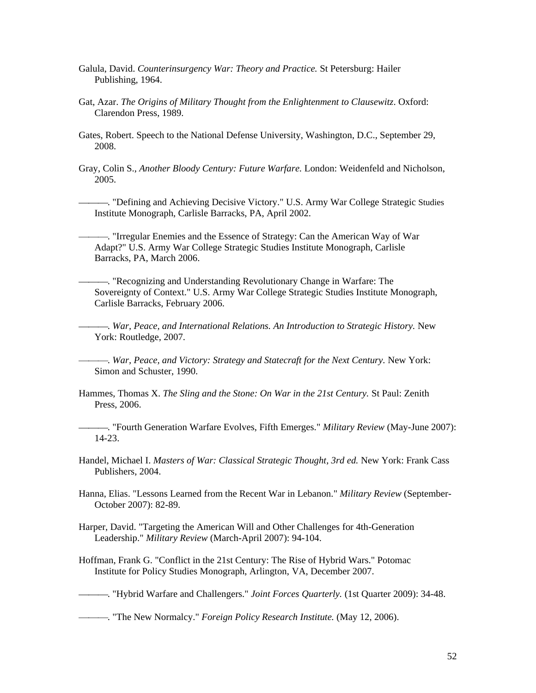- Galula, David. *Counterinsurgency War: Theory and Practice.* St Petersburg: Hailer Publishing, 1964.
- Gat, Azar. *The Origins of Military Thought from the Enlightenment to Clausewitz*. Oxford: Clarendon Press, 1989.
- Gates, Robert. Speech to the National Defense University, Washington, D.C., September 29, 2008.
- Gray, Colin S., *Another Bloody Century: Future Warfare.* London: Weidenfeld and Nicholson, 2005.

. "Defining and Achieving Decisive Victory." U.S. Army War College Strategic Studies Institute Monograph, Carlisle Barracks, PA, April 2002.

. "Irregular Enemies and the Essence of Strategy: Can the American Way of War Adapt?" U.S. Army War College Strategic Studies Institute Monograph, Carlisle Barracks, PA, March 2006.

. "Recognizing and Understanding Revolutionary Change in Warfare: The Sovereignty of Context." U.S. Army War College Strategic Studies Institute Monograph, Carlisle Barracks, February 2006.

. *War, Peace, and International Relations. An Introduction to Strategic History.* New York: Routledge, 2007.

. *War, Peace, and Victory: Strategy and Statecraft for the Next Century.* New York: Simon and Schuster, 1990.

Hammes, Thomas X. *The Sling and the Stone: On War in the 21st Century.* St Paul: Zenith Press, 2006.

. "Fourth Generation Warfare Evolves, Fifth Emerges." *Military Review* (May-June 2007): 14-23.

Handel, Michael I. *Masters of War: Classical Strategic Thought, 3rd ed.* New York: Frank Cass Publishers, 2004.

Hanna, Elias. "Lessons Learned from the Recent War in Lebanon." *Military Review* (September- October 2007): 82-89.

Harper, David. "Targeting the American Will and Other Challenges for 4th-Generation Leadership." *Military Review* (March-April 2007): 94-104.

Hoffman, Frank G. "Conflict in the 21st Century: The Rise of Hybrid Wars." Potomac Institute for Policy Studies Monograph, Arlington, VA, December 2007.

. "Hybrid Warfare and Challengers." *Joint Forces Quarterly.* (1st Quarter 2009): 34-48.

. "The New Normalcy." *Foreign Policy Research Institute.* (May 12, 2006).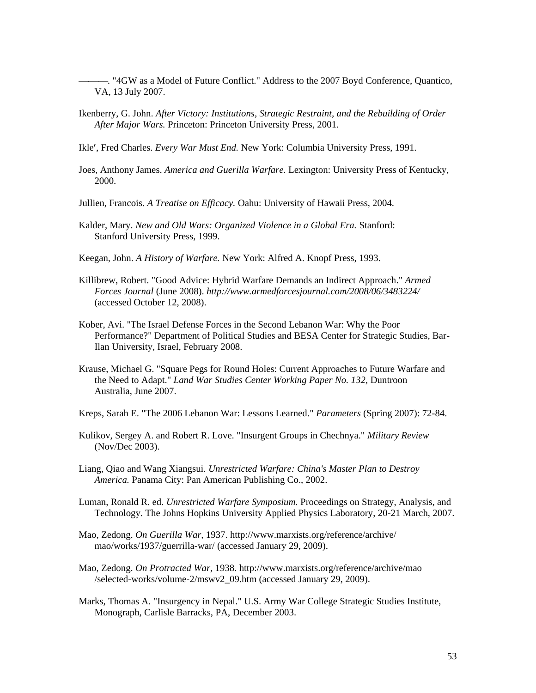- . "4GW as a Model of Future Conflict." Address to the 2007 Boyd Conference, Quantico, VA, 13 July 2007.
- Ikenberry, G. John. *After Victory: Institutions, Strategic Restraint, and the Rebuilding of Order After Major Wars.* Princeton: Princeton University Press, 2001.

Ikle , Fred Charles. *Every War Must End.* New York: Columbia University Press, 1991.

- Joes, Anthony James. *America and Guerilla Warfare.* Lexington: University Press of Kentucky, 2000.
- Jullien, Francois. *A Treatise on Efficacy.* Oahu: University of Hawaii Press, 2004.
- Kalder, Mary. *New and Old Wars: Organized Violence in a Global Era.* Stanford: Stanford University Press, 1999.
- Keegan, John. *A History of Warfare.* New York: Alfred A. Knopf Press, 1993.
- Killibrew, Robert. "Good Advice: Hybrid Warfare Demands an Indirect Approach." *Armed Forces Journal* (June 2008). *http://www.armedforcesjournal.com/2008/06/3483224/*  (accessed October 12, 2008).
- Kober, Avi. "The Israel Defense Forces in the Second Lebanon War: Why the Poor Performance?" Department of Political Studies and BESA Center for Strategic Studies, Bar- Ilan University, Israel, February 2008.
- Krause, Michael G. "Square Pegs for Round Holes: Current Approaches to Future Warfare and the Need to Adapt." *Land War Studies Center Working Paper No. 132,* Duntroon Australia, June 2007.

Kreps, Sarah E. "The 2006 Lebanon War: Lessons Learned." *Parameters* (Spring 2007): 72-84.

- Kulikov, Sergey A. and Robert R. Love. "Insurgent Groups in Chechnya." *Military Review* (Nov/Dec 2003).
- Liang, Qiao and Wang Xiangsui. *Unrestricted Warfare: China's Master Plan to Destroy America.* Panama City: Pan American Publishing Co., 2002.
- Luman, Ronald R. ed. *Unrestricted Warfare Symposium.* Proceedings on Strategy, Analysis, and Technology. The Johns Hopkins University Applied Physics Laboratory, 20-21 March, 2007.
- Mao, Zedong. *On Guerilla War,* 1937. http://www.marxists.org/reference/archive/ mao/works/1937/guerrilla-war/ (accessed January 29, 2009).
- Mao, Zedong. *On Protracted War,* 1938. http://www.marxists.org/reference/archive/mao /selected-works/volume-2/mswv2\_09.htm (accessed January 29, 2009).
- Marks, Thomas A. "Insurgency in Nepal." U.S. Army War College Strategic Studies Institute, Monograph, Carlisle Barracks, PA, December 2003.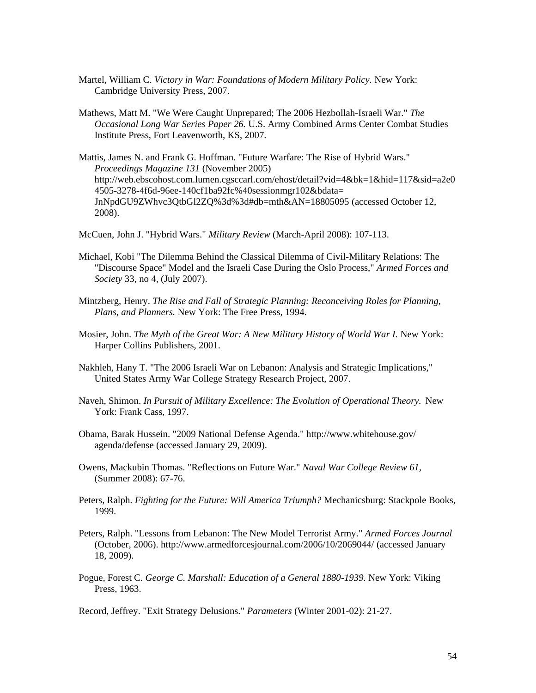- Martel, William C. *Victory in War: Foundations of Modern Military Policy.* New York: Cambridge University Press, 2007.
- Mathews, Matt M. "We Were Caught Unprepared; The 2006 Hezbollah-Israeli War." *The Occasional Long War Series Paper 26.* U.S. Army Combined Arms Center Combat Studies Institute Press, Fort Leavenworth, KS, 2007.
- Mattis, James N. and Frank G. Hoffman. "Future Warfare: The Rise of Hybrid Wars." *Proceedings Magazine 131* (November 2005) http://web.ebscohost.com.lumen.cgsccarl.com/ehost/detail?vid=4&bk=1&hid=117&sid=a2e0 4505-3278-4f6d-96ee-140cf1ba92fc%40sessionmgr102&bdata= JnNpdGU9ZWhvc3QtbGl2ZQ%3d%3d#db=mth&AN=18805095 (accessed October 12, 2008).
- McCuen, John J. "Hybrid Wars." *Military Review* (March-April 2008): 107-113.
- Michael, Kobi "The Dilemma Behind the Classical Dilemma of Civil-Military Relations: The "Discourse Space" Model and the Israeli Case During the Oslo Process," *Armed Forces and Society* 33*,* no 4*,* (July 2007).
- Mintzberg, Henry. *The Rise and Fall of Strategic Planning: Reconceiving Roles for Planning, Plans, and Planners.* New York: The Free Press, 1994.
- Mosier, John. *The Myth of the Great War: A New Military History of World War I*. New York: Harper Collins Publishers, 2001.
- Nakhleh, Hany T. "The 2006 Israeli War on Lebanon: Analysis and Strategic Implications," United States Army War College Strategy Research Project, 2007.
- Naveh, Shimon. *In Pursuit of Military Excellence: The Evolution of Operational Theory.* New York: Frank Cass, 1997.
- Obama, Barak Hussein. "2009 National Defense Agenda." http://www.whitehouse.gov/ agenda/defense (accessed January 29, 2009).
- Owens, Mackubin Thomas. "Reflections on Future War." *Naval War College Review 61,*  (Summer 2008): 67-76.
- Peters, Ralph. *Fighting for the Future: Will America Triumph?* Mechanicsburg: Stackpole Books, 1999.
- Peters, Ralph. "Lessons from Lebanon: The New Model Terrorist Army." *Armed Forces Journal*  (October, 2006). http://www.armedforcesjournal.com/2006/10/2069044/ (accessed January 18, 2009).
- Pogue, Forest C. *George C. Marshall: Education of a General 1880-1939*. New York: Viking Press, 1963.

Record, Jeffrey. "Exit Strategy Delusions." *Parameters* (Winter 2001-02): 21-27.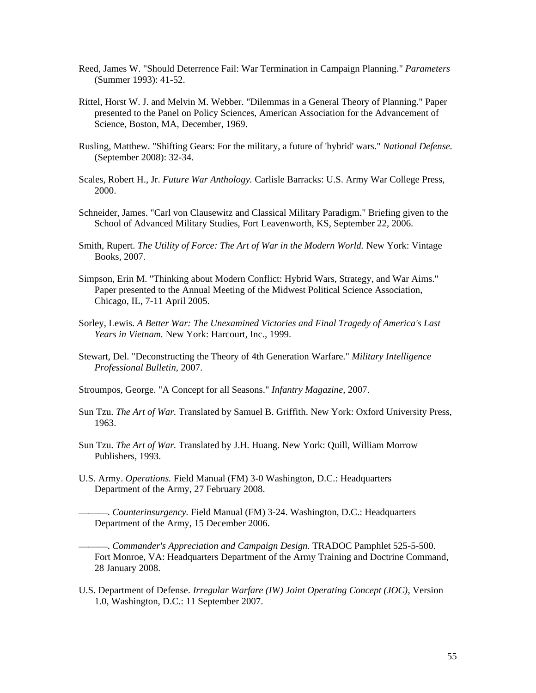- Reed, James W. "Should Deterrence Fail: War Termination in Campaign Planning." *Parameters*  (Summer 1993): 41-52.
- Rittel, Horst W. J. and Melvin M. Webber. "Dilemmas in a General Theory of Planning." Paper presented to the Panel on Policy Sciences, American Association for the Advancement of Science, Boston, MA, December, 1969.
- Rusling, Matthew. "Shifting Gears: For the military, a future of 'hybrid' wars." *National Defense.*  (September 2008): 32-34.
- Scales, Robert H., Jr. *Future War Anthology.* Carlisle Barracks: U.S. Army War College Press, 2000.
- Schneider, James. "Carl von Clausewitz and Classical Military Paradigm." Briefing given to the School of Advanced Military Studies, Fort Leavenworth, KS, September 22, 2006.
- Smith, Rupert. *The Utility of Force: The Art of War in the Modern World*. New York: Vintage Books, 2007.
- Simpson, Erin M. "Thinking about Modern Conflict: Hybrid Wars, Strategy, and War Aims." Paper presented to the Annual Meeting of the Midwest Political Science Association, Chicago, IL, 7-11 April 2005.
- Sorley, Lewis. *A Better War: The Unexamined Victories and Final Tragedy of America's Last Years in Vietnam.* New York: Harcourt, Inc., 1999.
- Stewart, Del. "Deconstructing the Theory of 4th Generation Warfare." *Military Intelligence Professional Bulletin,* 2007.
- Stroumpos, George. "A Concept for all Seasons." *Infantry Magazine,* 2007.
- Sun Tzu. *The Art of War.* Translated by Samuel B. Griffith. New York: Oxford University Press, 1963.
- Sun Tzu. *The Art of War.* Translated by J.H. Huang. New York: Quill, William Morrow Publishers, 1993.
- U.S. Army. *Operations.* Field Manual (FM) 3-0 Washington, D.C.: Headquarters Department of the Army, 27 February 2008.
- . *Counterinsurgency.* Field Manual (FM) 3-24. Washington, D.C.: Headquarters Department of the Army, 15 December 2006.
- . *Commander's Appreciation and Campaign Design.* TRADOC Pamphlet 525-5-500. Fort Monroe, VA: Headquarters Department of the Army Training and Doctrine Command, 28 January 2008.
- U.S. Department of Defense. *Irregular Warfare (IW) Joint Operating Concept (JOC)*, Version 1.0, Washington, D.C.: 11 September 2007.